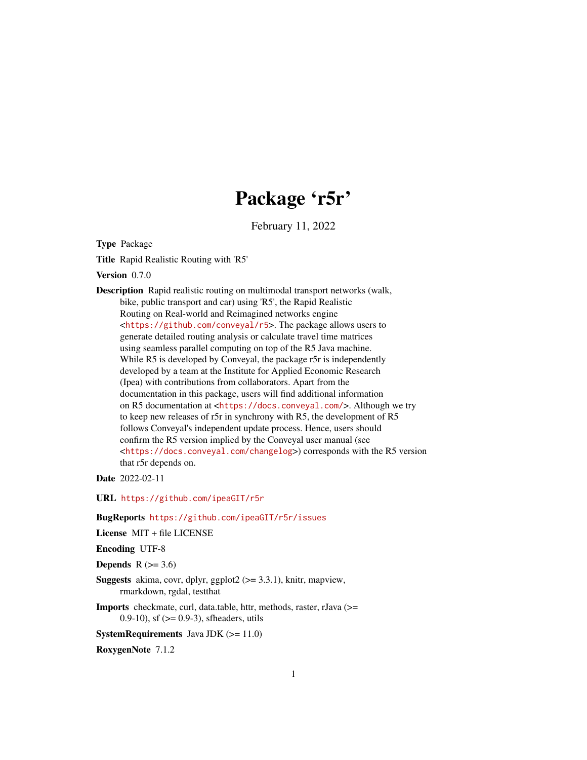# Package 'r5r'

February 11, 2022

Type Package

Title Rapid Realistic Routing with 'R5'

Version 0.7.0

Description Rapid realistic routing on multimodal transport networks (walk, bike, public transport and car) using 'R5', the Rapid Realistic Routing on Real-world and Reimagined networks engine <<https://github.com/conveyal/r5>>. The package allows users to generate detailed routing analysis or calculate travel time matrices using seamless parallel computing on top of the R5 Java machine. While R5 is developed by Conveyal, the package r5r is independently developed by a team at the Institute for Applied Economic Research (Ipea) with contributions from collaborators. Apart from the documentation in this package, users will find additional information on R5 documentation at <<https://docs.conveyal.com/>>. Although we try to keep new releases of r5r in synchrony with R5, the development of R5 follows Conveyal's independent update process. Hence, users should confirm the R5 version implied by the Conveyal user manual (see <<https://docs.conveyal.com/changelog>>) corresponds with the R5 version that r5r depends on.

Date 2022-02-11

URL <https://github.com/ipeaGIT/r5r>

BugReports <https://github.com/ipeaGIT/r5r/issues>

License MIT + file LICENSE

Encoding UTF-8

**Depends** R  $(>= 3.6)$ 

**Suggests** akima, covr, dplyr, ggplot $2$  ( $> = 3.3.1$ ), knitr, mapview, rmarkdown, rgdal, testthat

Imports checkmate, curl, data.table, httr, methods, raster, rJava (>= 0.9-10), sf  $(>= 0.9-3)$ , sfheaders, utils

**SystemRequirements** Java JDK  $(>= 11.0)$ 

RoxygenNote 7.1.2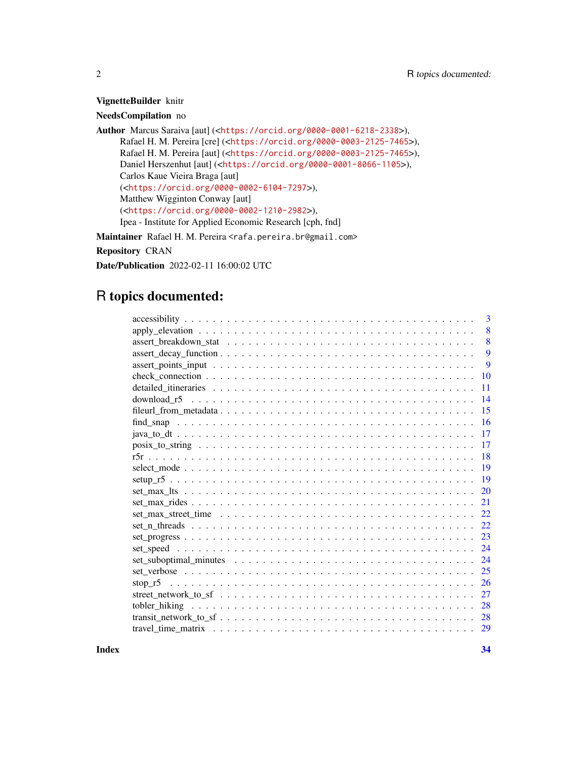## VignetteBuilder knitr

## NeedsCompilation no

Author Marcus Saraiva [aut] (<<https://orcid.org/0000-0001-6218-2338>>), Rafael H. M. Pereira [cre] (<<https://orcid.org/0000-0003-2125-7465>>), Rafael H. M. Pereira [aut] (<<https://orcid.org/0000-0003-2125-7465>>), Daniel Herszenhut [aut] (<<https://orcid.org/0000-0001-8066-1105>>), Carlos Kaue Vieira Braga [aut] (<<https://orcid.org/0000-0002-6104-7297>>), Matthew Wigginton Conway [aut] (<<https://orcid.org/0000-0002-1210-2982>>), Ipea - Institute for Applied Economic Research [cph, fnd]

Maintainer Rafael H. M. Pereira <rafa.pereira.br@gmail.com>

Repository CRAN

Date/Publication 2022-02-11 16:00:02 UTC

# R topics documented:

| 3               |
|-----------------|
| 8               |
| 8               |
| 9               |
| 9               |
| $\overline{10}$ |
| 11              |
| 14              |
| 15              |
| 16              |
| 17              |
| 17              |
| 18              |
| <b>19</b>       |
|                 |
| 20              |
| 21              |
| 22              |
| 22              |
| 23              |
| 24              |
| 24              |
| 25              |
| 26              |
| 27              |
| 28              |
| 28              |
| 29              |
|                 |

**Index** [34](#page-33-0)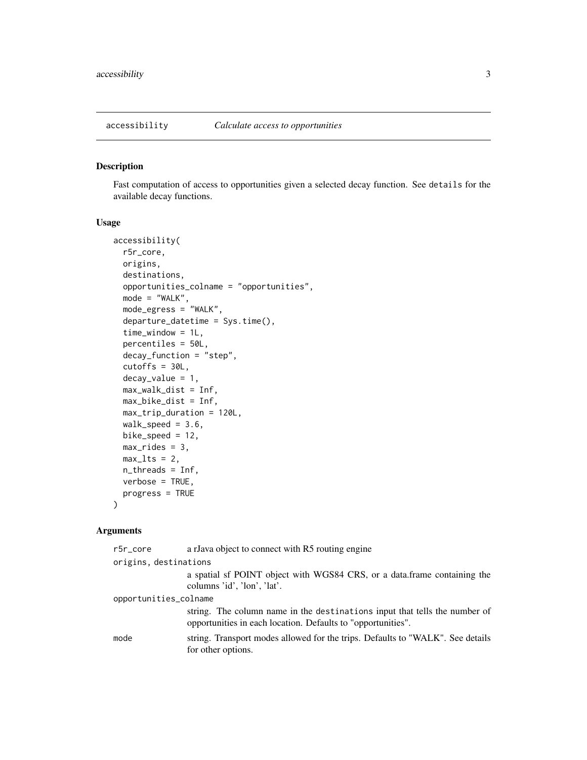<span id="page-2-1"></span><span id="page-2-0"></span>

#### Description

Fast computation of access to opportunities given a selected decay function. See details for the available decay functions.

## Usage

```
accessibility(
  r5r_core,
  origins,
  destinations,
  opportunities_colname = "opportunities",
 mode = "WALK",mode_egress = "WALK",
  departure_datetime = Sys.time(),
  time_window = 1L,
  percentiles = 50L,
  decay_function = "step",
  cutoffs = 30L,decay_value = 1,max_walk_dist = Inf,
 max_bike_dist = Inf,
 max_trip_duration = 120L,
 walk_speed = 3.6,
  bike_speed = 12,
 max\_rides = 3,max_l ts = 2,
 n_threads = Inf,
  verbose = TRUE,
 progress = TRUE
)
```
#### Arguments

| r5r_core              | a rJava object to connect with R5 routing engine                                                                                           |
|-----------------------|--------------------------------------------------------------------------------------------------------------------------------------------|
| origins, destinations |                                                                                                                                            |
|                       | a spatial sf POINT object with WGS84 CRS, or a data.frame containing the<br>columns 'id', 'lon', 'lat'.                                    |
| opportunities_colname |                                                                                                                                            |
|                       | string. The column name in the destinations input that tells the number of<br>opportunities in each location. Defaults to "opportunities". |
| mode                  | string. Transport modes allowed for the trips. Defaults to "WALK". See details<br>for other options.                                       |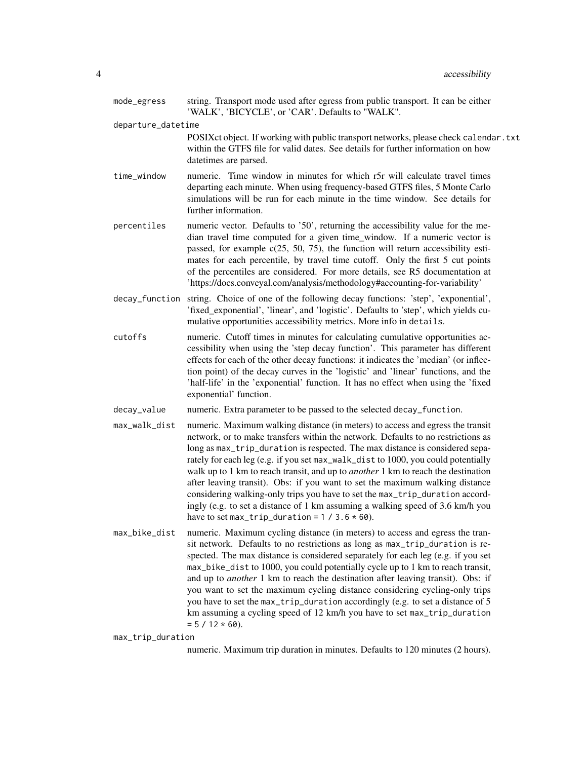| mode_egress        | string. Transport mode used after egress from public transport. It can be either<br>'WALK', 'BICYCLE', or 'CAR'. Defaults to "WALK".                                                                                                                                                                                                                                                                                                                                                                                                                                                                                                                                                                                                      |
|--------------------|-------------------------------------------------------------------------------------------------------------------------------------------------------------------------------------------------------------------------------------------------------------------------------------------------------------------------------------------------------------------------------------------------------------------------------------------------------------------------------------------------------------------------------------------------------------------------------------------------------------------------------------------------------------------------------------------------------------------------------------------|
| departure_datetime |                                                                                                                                                                                                                                                                                                                                                                                                                                                                                                                                                                                                                                                                                                                                           |
|                    | POSIXct object. If working with public transport networks, please check calendar . txt<br>within the GTFS file for valid dates. See details for further information on how<br>datetimes are parsed.                                                                                                                                                                                                                                                                                                                                                                                                                                                                                                                                       |
| time_window        | numeric. Time window in minutes for which r5r will calculate travel times<br>departing each minute. When using frequency-based GTFS files, 5 Monte Carlo<br>simulations will be run for each minute in the time window. See details for<br>further information.                                                                                                                                                                                                                                                                                                                                                                                                                                                                           |
| percentiles        | numeric vector. Defaults to '50', returning the accessibility value for the me-<br>dian travel time computed for a given time_window. If a numeric vector is<br>passed, for example $c(25, 50, 75)$ , the function will return accessibility esti-<br>mates for each percentile, by travel time cutoff. Only the first 5 cut points<br>of the percentiles are considered. For more details, see R5 documentation at<br>'https://docs.conveyal.com/analysis/methodology#accounting-for-variability'                                                                                                                                                                                                                                        |
|                    | decay_function string. Choice of one of the following decay functions: 'step', 'exponential',<br>'fixed_exponential', 'linear', and 'logistic'. Defaults to 'step', which yields cu-<br>mulative opportunities accessibility metrics. More info in details.                                                                                                                                                                                                                                                                                                                                                                                                                                                                               |
| cutoffs            | numeric. Cutoff times in minutes for calculating cumulative opportunities ac-<br>cessibility when using the 'step decay function'. This parameter has different<br>effects for each of the other decay functions: it indicates the 'median' (or inflec-<br>tion point) of the decay curves in the 'logistic' and 'linear' functions, and the<br>'half-life' in the 'exponential' function. It has no effect when using the 'fixed<br>exponential' function.                                                                                                                                                                                                                                                                               |
| decay_value        | numeric. Extra parameter to be passed to the selected decay_function.                                                                                                                                                                                                                                                                                                                                                                                                                                                                                                                                                                                                                                                                     |
| max_walk_dist      | numeric. Maximum walking distance (in meters) to access and egress the transit<br>network, or to make transfers within the network. Defaults to no restrictions as<br>long as max_trip_duration is respected. The max distance is considered sepa-<br>rately for each leg (e.g. if you set max_walk_dist to 1000, you could potentially<br>walk up to 1 km to reach transit, and up to <i>another</i> 1 km to reach the destination<br>after leaving transit). Obs: if you want to set the maximum walking distance<br>considering walking-only trips you have to set the max_trip_duration accord-<br>ingly (e.g. to set a distance of 1 km assuming a walking speed of 3.6 km/h you<br>have to set max_trip_duration = $1 / 3.6 * 60$ . |
| max_bike_dist      | numeric. Maximum cycling distance (in meters) to access and egress the tran-<br>sit network. Defaults to no restrictions as long as max_trip_duration is re-<br>spected. The max distance is considered separately for each leg (e.g. if you set<br>max_bike_dist to 1000, you could potentially cycle up to 1 km to reach transit,<br>and up to <i>another</i> 1 km to reach the destination after leaving transit). Obs: if<br>you want to set the maximum cycling distance considering cycling-only trips<br>you have to set the max_trip_duration accordingly (e.g. to set a distance of 5<br>km assuming a cycling speed of 12 km/h you have to set max_trip_duration<br>$= 5 / 12 * 60$ .                                           |

max\_trip\_duration

numeric. Maximum trip duration in minutes. Defaults to 120 minutes (2 hours).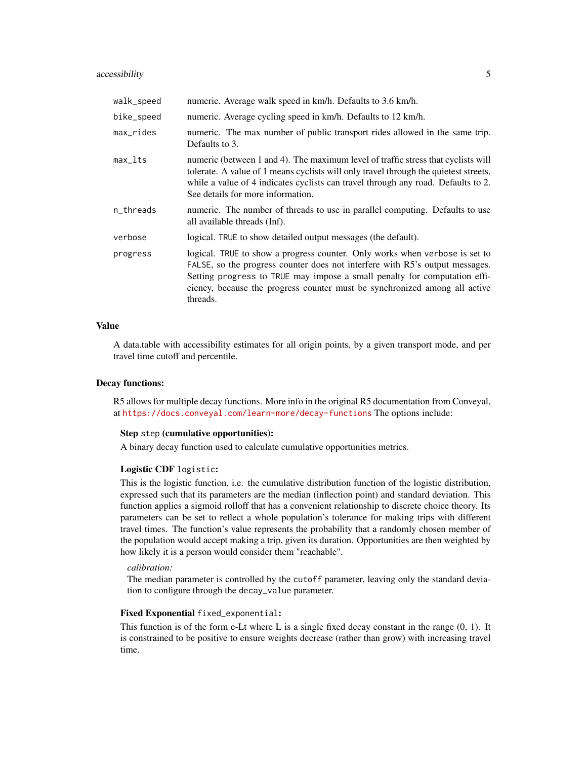## accessibility 5

| walk_speed   | numeric. Average walk speed in km/h. Defaults to 3.6 km/h.                                                                                                                                                                                                                                                                         |
|--------------|------------------------------------------------------------------------------------------------------------------------------------------------------------------------------------------------------------------------------------------------------------------------------------------------------------------------------------|
| bike_speed   | numeric. Average cycling speed in km/h. Defaults to 12 km/h.                                                                                                                                                                                                                                                                       |
| $max\_rides$ | numeric. The max number of public transport rides allowed in the same trip.<br>Defaults to 3.                                                                                                                                                                                                                                      |
| $max_1$      | numeric (between 1 and 4). The maximum level of traffic stress that cyclists will<br>tolerate. A value of 1 means cyclists will only travel through the quietest streets,<br>while a value of 4 indicates cyclists can travel through any road. Defaults to 2.<br>See details for more information.                                |
| n_threads    | numeric. The number of threads to use in parallel computing. Defaults to use<br>all available threads (Inf).                                                                                                                                                                                                                       |
| verbose      | logical. TRUE to show detailed output messages (the default).                                                                                                                                                                                                                                                                      |
| progress     | logical. TRUE to show a progress counter. Only works when verbose is set to<br>FALSE, so the progress counter does not interfere with R5's output messages.<br>Setting progress to TRUE may impose a small penalty for computation effi-<br>ciency, because the progress counter must be synchronized among all active<br>threads. |

#### Value

A data.table with accessibility estimates for all origin points, by a given transport mode, and per travel time cutoff and percentile.

## Decay functions:

R5 allows for multiple decay functions. More info in the original R5 documentation from Conveyal, at <https://docs.conveyal.com/learn-more/decay-functions> The options include:

#### Step step (cumulative opportunities):

A binary decay function used to calculate cumulative opportunities metrics.

#### Logistic CDF logistic:

This is the logistic function, i.e. the cumulative distribution function of the logistic distribution, expressed such that its parameters are the median (inflection point) and standard deviation. This function applies a sigmoid rolloff that has a convenient relationship to discrete choice theory. Its parameters can be set to reflect a whole population's tolerance for making trips with different travel times. The function's value represents the probability that a randomly chosen member of the population would accept making a trip, given its duration. Opportunities are then weighted by how likely it is a person would consider them "reachable".

#### *calibration:*

The median parameter is controlled by the cutoff parameter, leaving only the standard deviation to configure through the decay\_value parameter.

## Fixed Exponential fixed\_exponential:

This function is of the form e-Lt where L is a single fixed decay constant in the range (0, 1). It is constrained to be positive to ensure weights decrease (rather than grow) with increasing travel time.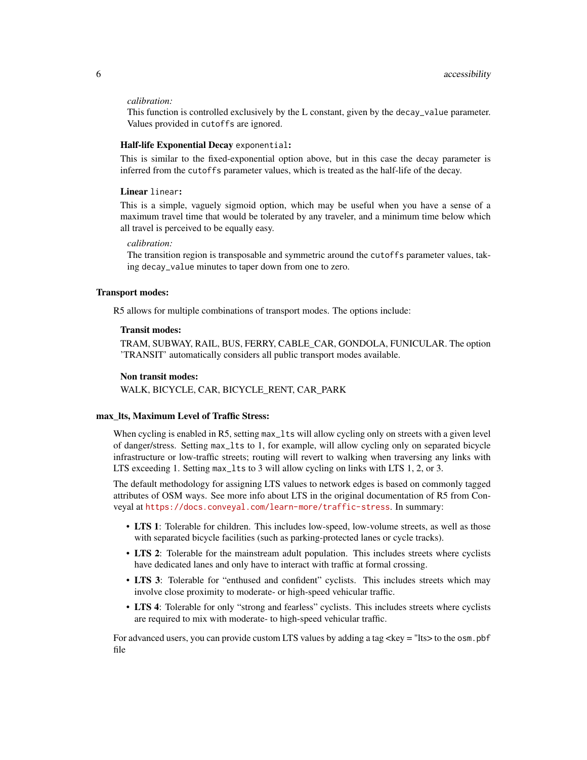#### *calibration:*

This function is controlled exclusively by the L constant, given by the decay\_value parameter. Values provided in cutoffs are ignored.

## Half-life Exponential Decay exponential:

This is similar to the fixed-exponential option above, but in this case the decay parameter is inferred from the cutoffs parameter values, which is treated as the half-life of the decay.

## Linear linear:

This is a simple, vaguely sigmoid option, which may be useful when you have a sense of a maximum travel time that would be tolerated by any traveler, and a minimum time below which all travel is perceived to be equally easy.

## *calibration:*

The transition region is transposable and symmetric around the cutoffs parameter values, taking decay\_value minutes to taper down from one to zero.

## Transport modes:

R5 allows for multiple combinations of transport modes. The options include:

#### Transit modes:

TRAM, SUBWAY, RAIL, BUS, FERRY, CABLE\_CAR, GONDOLA, FUNICULAR. The option 'TRANSIT' automatically considers all public transport modes available.

#### Non transit modes:

WALK, BICYCLE, CAR, BICYCLE\_RENT, CAR\_PARK

#### max\_lts, Maximum Level of Traffic Stress:

When cycling is enabled in R5, setting max\_lts will allow cycling only on streets with a given level of danger/stress. Setting max\_lts to 1, for example, will allow cycling only on separated bicycle infrastructure or low-traffic streets; routing will revert to walking when traversing any links with LTS exceeding 1. Setting max\_lts to 3 will allow cycling on links with LTS 1, 2, or 3.

The default methodology for assigning LTS values to network edges is based on commonly tagged attributes of OSM ways. See more info about LTS in the original documentation of R5 from Conveyal at <https://docs.conveyal.com/learn-more/traffic-stress>. In summary:

- LTS 1: Tolerable for children. This includes low-speed, low-volume streets, as well as those with separated bicycle facilities (such as parking-protected lanes or cycle tracks).
- LTS 2: Tolerable for the mainstream adult population. This includes streets where cyclists have dedicated lanes and only have to interact with traffic at formal crossing.
- LTS 3: Tolerable for "enthused and confident" cyclists. This includes streets which may involve close proximity to moderate- or high-speed vehicular traffic.
- LTS 4: Tolerable for only "strong and fearless" cyclists. This includes streets where cyclists are required to mix with moderate- to high-speed vehicular traffic.

For advanced users, you can provide custom LTS values by adding a tag <key = "lts> to the osm.pbf file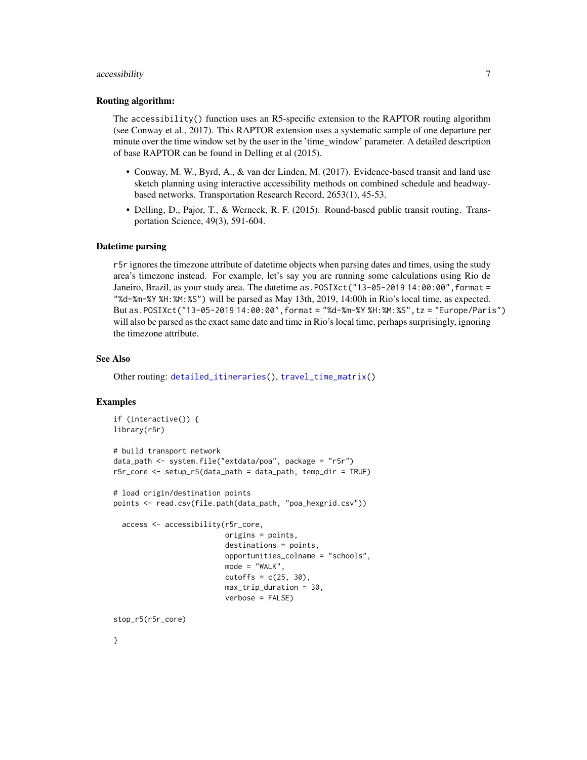## <span id="page-6-0"></span>accessibility 7

#### Routing algorithm:

The accessibility() function uses an R5-specific extension to the RAPTOR routing algorithm (see Conway et al., 2017). This RAPTOR extension uses a systematic sample of one departure per minute over the time window set by the user in the 'time\_window' parameter. A detailed description of base RAPTOR can be found in Delling et al (2015).

- Conway, M. W., Byrd, A., & van der Linden, M. (2017). Evidence-based transit and land use sketch planning using interactive accessibility methods on combined schedule and headwaybased networks. Transportation Research Record, 2653(1), 45-53.
- Delling, D., Pajor, T., & Werneck, R. F. (2015). Round-based public transit routing. Transportation Science, 49(3), 591-604.

#### Datetime parsing

r5r ignores the timezone attribute of datetime objects when parsing dates and times, using the study area's timezone instead. For example, let's say you are running some calculations using Rio de Janeiro, Brazil, as your study area. The datetime as.POSIXct("13-05-2019 14:00:00",format = "%d-%m-%Y %H:%M:%S") will be parsed as May 13th, 2019, 14:00h in Rio's local time, as expected. But as.POSIXct("13-05-2019 14:00:00",format = "%d-%m-%Y %H:%M:%S",tz = "Europe/Paris") will also be parsed as the exact same date and time in Rio's local time, perhaps surprisingly, ignoring the timezone attribute.

#### See Also

Other routing: [detailed\\_itineraries\(](#page-10-1)), [travel\\_time\\_matrix\(](#page-28-1))

#### Examples

```
if (interactive()) {
library(r5r)
# build transport network
data_path <- system.file("extdata/poa", package = "r5r")
r5r_core <- setup_r5(data_path = data_path, temp_dir = TRUE)
# load origin/destination points
points <- read.csv(file.path(data_path, "poa_hexgrid.csv"))
  access <- accessibility(r5r_core,
                          origins = points,
                          destinations = points,
                          opportunities_colname = "schools",
                          mode = "WALK",cutoffs = c(25, 30),
                          max_trip_duration = 30,
                          verbose = FALSE)
stop_r5(r5r_core)
```
}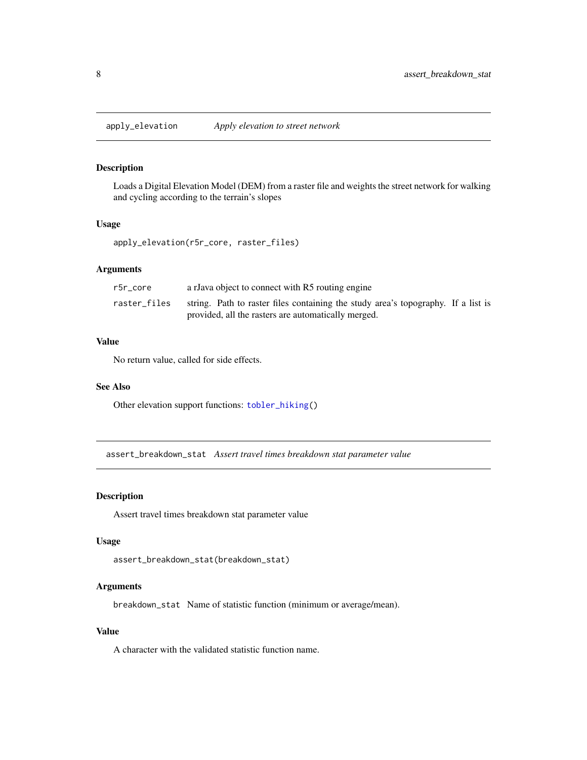<span id="page-7-2"></span><span id="page-7-0"></span>apply\_elevation *Apply elevation to street network*

## Description

Loads a Digital Elevation Model (DEM) from a raster file and weights the street network for walking and cycling according to the terrain's slopes

#### Usage

apply\_elevation(r5r\_core, raster\_files)

## Arguments

| r5r core     | a rJava object to connect with R5 routing engine                                  |
|--------------|-----------------------------------------------------------------------------------|
| raster files | string. Path to raster files containing the study area's topography. If a list is |
|              | provided, all the rasters are automatically merged.                               |

#### Value

No return value, called for side effects.

## See Also

Other elevation support functions: [tobler\\_hiking\(](#page-27-1))

<span id="page-7-1"></span>assert\_breakdown\_stat *Assert travel times breakdown stat parameter value*

## Description

Assert travel times breakdown stat parameter value

#### Usage

```
assert_breakdown_stat(breakdown_stat)
```
## Arguments

breakdown\_stat Name of statistic function (minimum or average/mean).

## Value

A character with the validated statistic function name.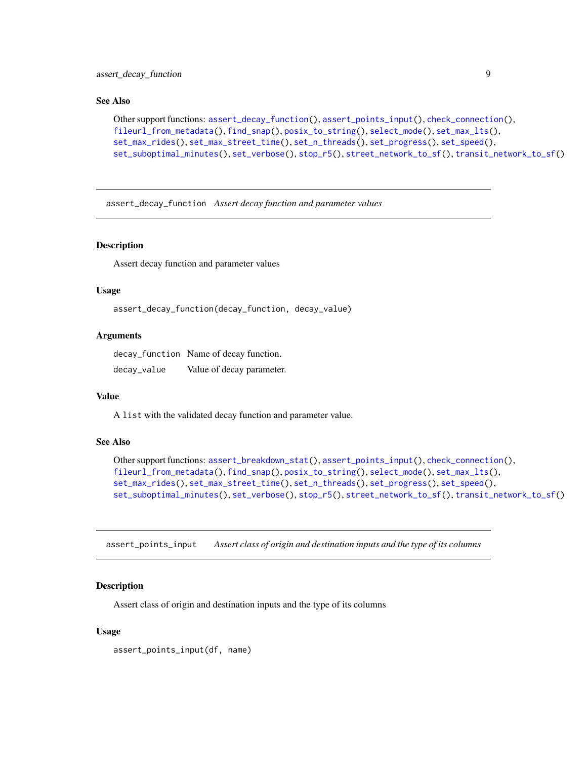#### <span id="page-8-0"></span>See Also

```
Other support functions: assert_decay_function(), assert_points_input(), check_connection(),
fileurl_from_metadata(), find_snap(), posix_to_string(), select_mode(), set_max_lts(),
set_max_rides(), set_max_street_time(), set_n_threads(), set_progress(), set_speed(),
set_suboptimal_minutes(), set_verbose(), stop_r5(), street_network_to_sf(), transit_network_to_sf()
```
<span id="page-8-1"></span>assert\_decay\_function *Assert decay function and parameter values*

## Description

Assert decay function and parameter values

## Usage

```
assert_decay_function(decay_function, decay_value)
```
#### Arguments

decay\_function Name of decay function. decay\_value Value of decay parameter.

## Value

A list with the validated decay function and parameter value.

## See Also

```
Other support functions: assert_breakdown_stat(), assert_points_input(), check_connection(),
fileurl_from_metadata(), find_snap(), posix_to_string(), select_mode(), set_max_lts(),
set_max_rides(), set_max_street_time(), set_n_threads(), set_progress(), set_speed(),
set_suboptimal_minutes(), set_verbose(), stop_r5(), street_network_to_sf(), transit_network_to_sf()
```
<span id="page-8-2"></span>assert\_points\_input *Assert class of origin and destination inputs and the type of its columns*

## Description

Assert class of origin and destination inputs and the type of its columns

## Usage

```
assert_points_input(df, name)
```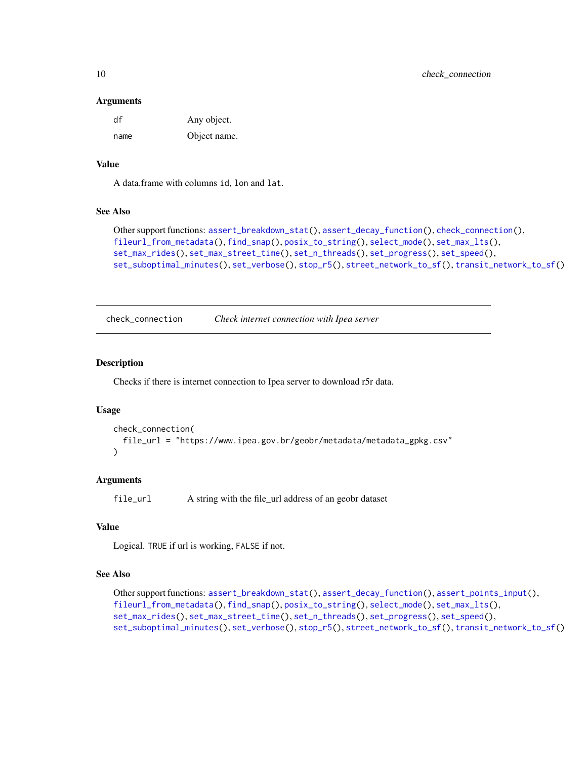#### Arguments

| df   | Any object.  |
|------|--------------|
| name | Object name. |

## Value

A data.frame with columns id, lon and lat.

## See Also

```
Other support functions: assert_breakdown_stat(), assert_decay_function(), check_connection(),
fileurl_from_metadata(), find_snap(), posix_to_string(), select_mode(), set_max_lts(),
set_max_rides(), set_max_street_time(), set_n_threads(), set_progress(), set_speed(),
set_suboptimal_minutes(), set_verbose(), stop_r5(), street_network_to_sf(), transit_network_to_sf()
```
<span id="page-9-1"></span>check\_connection *Check internet connection with Ipea server*

## Description

Checks if there is internet connection to Ipea server to download r5r data.

## Usage

```
check_connection(
  file_url = "https://www.ipea.gov.br/geobr/metadata/metadata_gpkg.csv"
)
```
## Arguments

file\_url A string with the file\_url address of an geobr dataset

## Value

Logical. TRUE if url is working, FALSE if not.

#### See Also

```
Other support functions: assert_breakdown_stat(), assert_decay_function(), assert_points_input(),
fileurl_from_metadata(), find_snap(), posix_to_string(), select_mode(), set_max_lts(),
set_max_rides(), set_max_street_time(), set_n_threads(), set_progress(), set_speed(),
set_suboptimal_minutes(), set_verbose(), stop_r5(), street_network_to_sf(), transit_network_to_sf()
```
<span id="page-9-0"></span>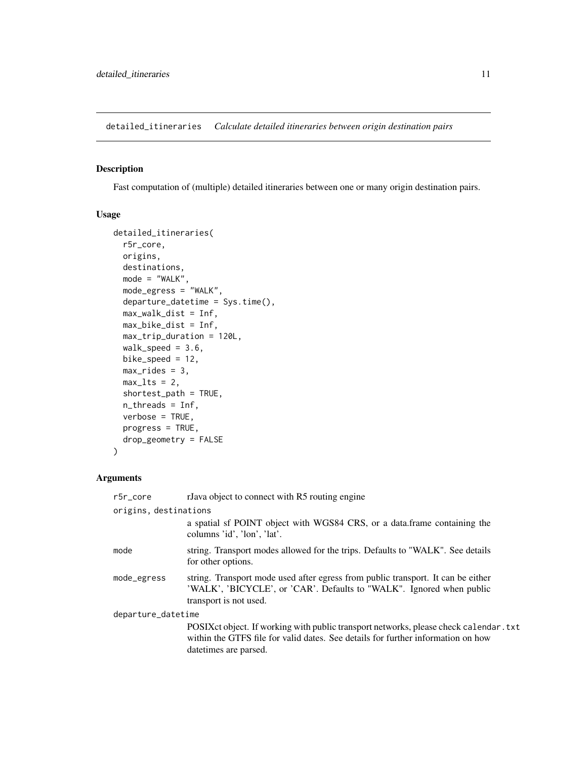<span id="page-10-1"></span><span id="page-10-0"></span>detailed\_itineraries *Calculate detailed itineraries between origin destination pairs*

## Description

Fast computation of (multiple) detailed itineraries between one or many origin destination pairs.

## Usage

```
detailed_itineraries(
  r5r_core,
 origins,
  destinations,
 mode = "WALK",
 mode_egress = "WALK",
  departure_datetime = Sys.time(),
 max_walk_dist = Inf,
 max_bike_dist = Inf,
 max_trip_duration = 120L,
 walk\_speed = 3.6,bike_speed = 12,
 max\_rides = 3,max_lts = 2,
  shortest_path = TRUE,
  n_threads = Inf,
  verbose = TRUE,
 progress = TRUE,
  drop_geometry = FALSE
)
```
## Arguments

| $r5r\_core$           | rJava object to connect with R5 routing engine                                                                                                                                                        |
|-----------------------|-------------------------------------------------------------------------------------------------------------------------------------------------------------------------------------------------------|
| origins, destinations |                                                                                                                                                                                                       |
|                       | a spatial sf POINT object with WGS84 CRS, or a data.frame containing the<br>columns 'id', 'lon', 'lat'.                                                                                               |
| mode                  | string. Transport modes allowed for the trips. Defaults to "WALK". See details<br>for other options.                                                                                                  |
| mode_egress           | string. Transport mode used after egress from public transport. It can be either<br>'WALK', 'BICYCLE', or 'CAR'. Defaults to "WALK". Ignored when public<br>transport is not used.                    |
| departure_datetime    |                                                                                                                                                                                                       |
|                       | POSIX ct object. If working with public transport networks, please check calendar . txt<br>within the GTFS file for valid dates. See details for further information on how<br>date times are parsed. |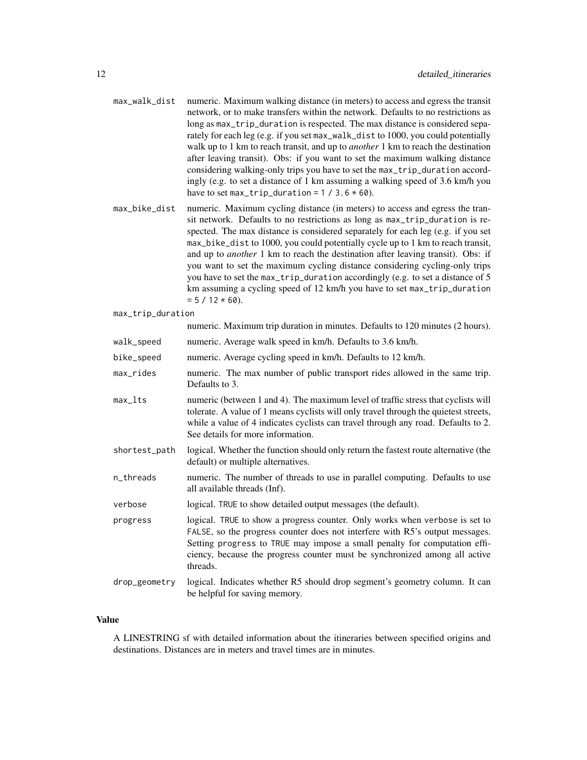- max\_walk\_dist numeric. Maximum walking distance (in meters) to access and egress the transit network, or to make transfers within the network. Defaults to no restrictions as long as max\_trip\_duration is respected. The max distance is considered separately for each leg (e.g. if you set max\_walk\_dist to 1000, you could potentially walk up to 1 km to reach transit, and up to *another* 1 km to reach the destination after leaving transit). Obs: if you want to set the maximum walking distance considering walking-only trips you have to set the max\_trip\_duration accordingly (e.g. to set a distance of 1 km assuming a walking speed of 3.6 km/h you have to set max\_trip\_duration =  $1 / 3.6 * 60$ .
- max\_bike\_dist numeric. Maximum cycling distance (in meters) to access and egress the transit network. Defaults to no restrictions as long as max\_trip\_duration is respected. The max distance is considered separately for each leg (e.g. if you set max\_bike\_dist to 1000, you could potentially cycle up to 1 km to reach transit, and up to *another* 1 km to reach the destination after leaving transit). Obs: if you want to set the maximum cycling distance considering cycling-only trips you have to set the max\_trip\_duration accordingly (e.g. to set a distance of 5 km assuming a cycling speed of 12 km/h you have to set max\_trip\_duration  $= 5 / 12 \times 60$ ).
- max\_trip\_duration

|               | numeric. Maximum trip duration in minutes. Defaults to 120 minutes (2 hours).                                                                                                                                                                                                                                                      |
|---------------|------------------------------------------------------------------------------------------------------------------------------------------------------------------------------------------------------------------------------------------------------------------------------------------------------------------------------------|
| walk_speed    | numeric. Average walk speed in km/h. Defaults to 3.6 km/h.                                                                                                                                                                                                                                                                         |
| bike_speed    | numeric. Average cycling speed in km/h. Defaults to 12 km/h.                                                                                                                                                                                                                                                                       |
| max_rides     | numeric. The max number of public transport rides allowed in the same trip.<br>Defaults to 3.                                                                                                                                                                                                                                      |
| $max_1$       | numeric (between 1 and 4). The maximum level of traffic stress that cyclists will<br>tolerate. A value of 1 means cyclists will only travel through the quietest streets,<br>while a value of 4 indicates cyclists can travel through any road. Defaults to 2.<br>See details for more information.                                |
| shortest_path | logical. Whether the function should only return the fastest route alternative (the<br>default) or multiple alternatives.                                                                                                                                                                                                          |
| n_threads     | numeric. The number of threads to use in parallel computing. Defaults to use<br>all available threads (Inf).                                                                                                                                                                                                                       |
| verbose       | logical. TRUE to show detailed output messages (the default).                                                                                                                                                                                                                                                                      |
| progress      | logical. TRUE to show a progress counter. Only works when verbose is set to<br>FALSE, so the progress counter does not interfere with R5's output messages.<br>Setting progress to TRUE may impose a small penalty for computation effi-<br>ciency, because the progress counter must be synchronized among all active<br>threads. |
| drop_geometry | logical. Indicates whether R5 should drop segment's geometry column. It can<br>be helpful for saving memory.                                                                                                                                                                                                                       |

#### Value

A LINESTRING sf with detailed information about the itineraries between specified origins and destinations. Distances are in meters and travel times are in minutes.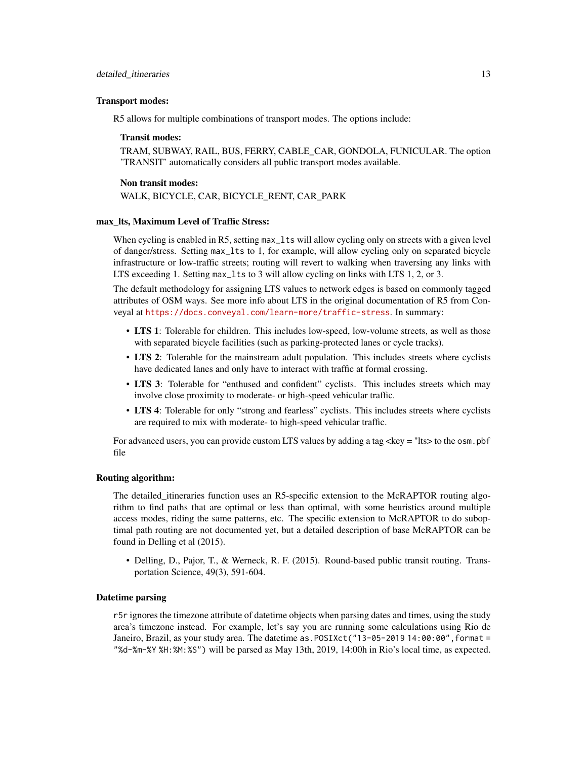#### Transport modes:

R5 allows for multiple combinations of transport modes. The options include:

## Transit modes:

TRAM, SUBWAY, RAIL, BUS, FERRY, CABLE\_CAR, GONDOLA, FUNICULAR. The option 'TRANSIT' automatically considers all public transport modes available.

#### Non transit modes:

WALK, BICYCLE, CAR, BICYCLE\_RENT, CAR\_PARK

#### max\_lts, Maximum Level of Traffic Stress:

When cycling is enabled in R5, setting max\_lts will allow cycling only on streets with a given level of danger/stress. Setting max\_lts to 1, for example, will allow cycling only on separated bicycle infrastructure or low-traffic streets; routing will revert to walking when traversing any links with LTS exceeding 1. Setting max\_lts to 3 will allow cycling on links with LTS 1, 2, or 3.

The default methodology for assigning LTS values to network edges is based on commonly tagged attributes of OSM ways. See more info about LTS in the original documentation of R5 from Conveyal at <https://docs.conveyal.com/learn-more/traffic-stress>. In summary:

- LTS 1: Tolerable for children. This includes low-speed, low-volume streets, as well as those with separated bicycle facilities (such as parking-protected lanes or cycle tracks).
- LTS 2: Tolerable for the mainstream adult population. This includes streets where cyclists have dedicated lanes and only have to interact with traffic at formal crossing.
- LTS 3: Tolerable for "enthused and confident" cyclists. This includes streets which may involve close proximity to moderate- or high-speed vehicular traffic.
- LTS 4: Tolerable for only "strong and fearless" cyclists. This includes streets where cyclists are required to mix with moderate- to high-speed vehicular traffic.

For advanced users, you can provide custom LTS values by adding a tag <key = "lts> to the osm.pbf file

## Routing algorithm:

The detailed\_itineraries function uses an R5-specific extension to the McRAPTOR routing algorithm to find paths that are optimal or less than optimal, with some heuristics around multiple access modes, riding the same patterns, etc. The specific extension to McRAPTOR to do suboptimal path routing are not documented yet, but a detailed description of base McRAPTOR can be found in Delling et al (2015).

• Delling, D., Pajor, T., & Werneck, R. F. (2015). Round-based public transit routing. Transportation Science, 49(3), 591-604.

## Datetime parsing

r5r ignores the timezone attribute of datetime objects when parsing dates and times, using the study area's timezone instead. For example, let's say you are running some calculations using Rio de Janeiro, Brazil, as your study area. The datetime as.POSIXct("13-05-2019 14:00:00",format = "%d-%m-%Y %H:%M:%S") will be parsed as May 13th, 2019, 14:00h in Rio's local time, as expected.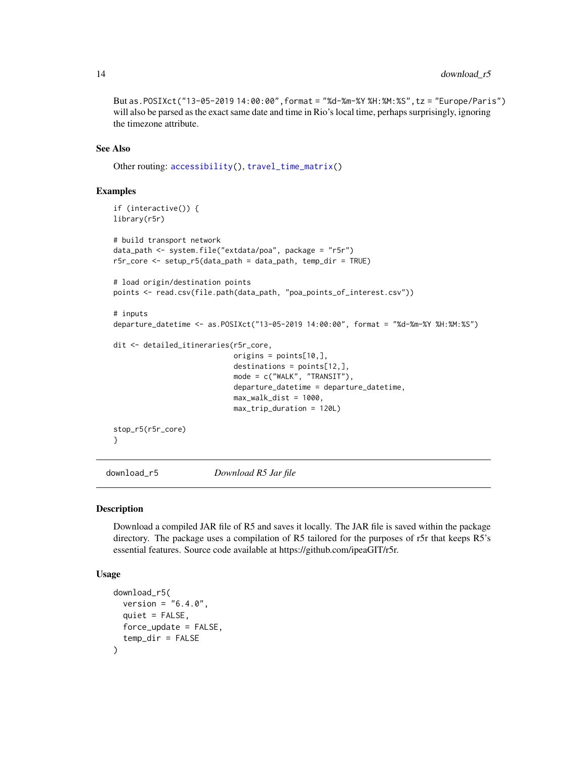But as.POSIXct("13-05-2019 14:00:00",format = "%d-%m-%Y %H:%M:%S",tz = "Europe/Paris") will also be parsed as the exact same date and time in Rio's local time, perhaps surprisingly, ignoring the timezone attribute.

## See Also

Other routing: [accessibility\(](#page-2-1)), [travel\\_time\\_matrix\(](#page-28-1))

## Examples

```
if (interactive()) {
library(r5r)
# build transport network
data_path <- system.file("extdata/poa", package = "r5r")
r5r_core <- setup_r5(data_path = data_path, temp_dir = TRUE)
# load origin/destination points
points <- read.csv(file.path(data_path, "poa_points_of_interest.csv"))
# inputs
departure_datetime <- as.POSIXct("13-05-2019 14:00:00", format = "%d-%m-%Y %H:%M:%S")
dit <- detailed_itineraries(r5r_core,
                            origins = points[10,],
                            destinations = points[12,],
                            mode = c("WALK", "TRANSIT"),
                            departure_datetime = departure_datetime,
                            max_walk\_dist = 1000,
                            max_trip_duration = 120L)
stop_r5(r5r_core)
}
```
<span id="page-13-1"></span>download\_r5 *Download R5 Jar file*

#### Description

Download a compiled JAR file of R5 and saves it locally. The JAR file is saved within the package directory. The package uses a compilation of R5 tailored for the purposes of r5r that keeps R5's essential features. Source code available at https://github.com/ipeaGIT/r5r.

## Usage

```
download_r5(
 version = "6.4.0",quiet = FALSE,
 force_update = FALSE,
  temp_dir = FALSE
)
```
<span id="page-13-0"></span>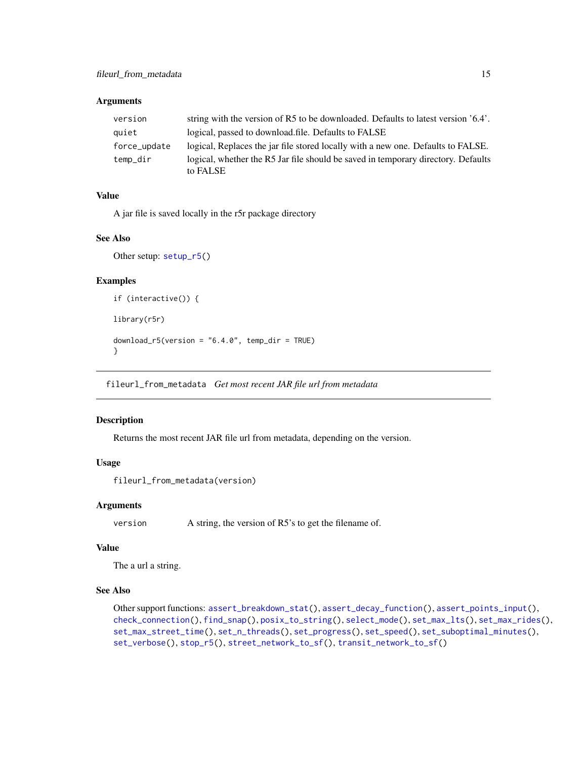### <span id="page-14-0"></span>Arguments

| version      | string with the version of R5 to be downloaded. Defaults to latest version '6.4'. |
|--------------|-----------------------------------------------------------------------------------|
| quiet        | logical, passed to download file. Defaults to FALSE                               |
| force_update | logical, Replaces the jar file stored locally with a new one. Defaults to FALSE.  |
| temp_dir     | logical, whether the R5 Jar file should be saved in temporary directory. Defaults |
|              | to FALSE                                                                          |

## Value

A jar file is saved locally in the r5r package directory

#### See Also

Other setup: [setup\\_r5\(](#page-18-2))

## Examples

```
if (interactive()) {
library(r5r)
download_r5(version = "6.4.0", temp_dir = TRUE)
}
```
<span id="page-14-1"></span>fileurl\_from\_metadata *Get most recent JAR file url from metadata*

## Description

Returns the most recent JAR file url from metadata, depending on the version.

## Usage

```
fileurl_from_metadata(version)
```
## Arguments

version A string, the version of R5's to get the filename of.

## Value

The a url a string.

## See Also

```
Other support functions: assert_breakdown_stat(), assert_decay_function(), assert_points_input(),
check_connection(), find_snap(), posix_to_string(), select_mode(), set_max_lts(), set_max_rides(),
set_max_street_time(), set_n_threads(), set_progress(), set_speed(), set_suboptimal_minutes(),
set_verbose(), stop_r5(), street_network_to_sf(), transit_network_to_sf()
```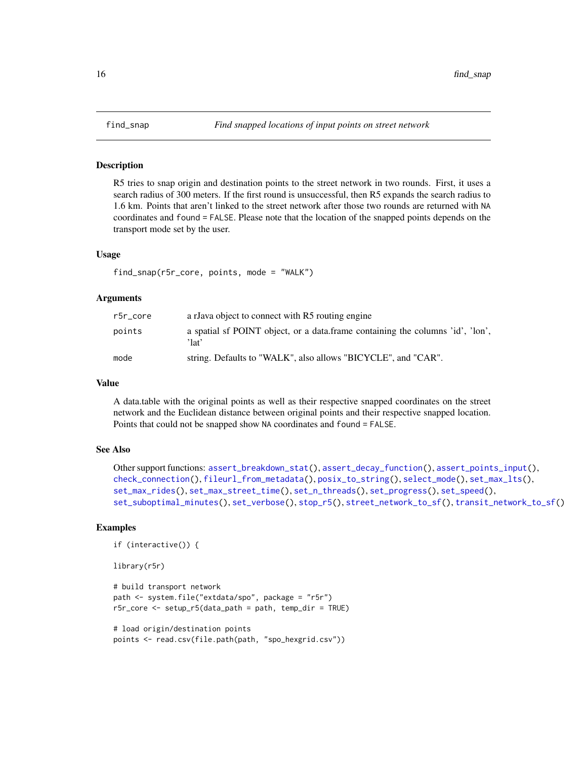<span id="page-15-1"></span><span id="page-15-0"></span>

#### Description

R5 tries to snap origin and destination points to the street network in two rounds. First, it uses a search radius of 300 meters. If the first round is unsuccessful, then R5 expands the search radius to 1.6 km. Points that aren't linked to the street network after those two rounds are returned with NA coordinates and found = FALSE. Please note that the location of the snapped points depends on the transport mode set by the user.

#### Usage

```
find_snap(r5r_core, points, mode = "WALK")
```
#### Arguments

| r5r core | a rJava object to connect with R5 routing engine                                        |
|----------|-----------------------------------------------------------------------------------------|
| points   | a spatial sf POINT object, or a data frame containing the columns 'id', 'lon',<br>'lat' |
| mode     | string. Defaults to "WALK", also allows "BICYCLE", and "CAR".                           |

#### Value

A data.table with the original points as well as their respective snapped coordinates on the street network and the Euclidean distance between original points and their respective snapped location. Points that could not be snapped show NA coordinates and found = FALSE.

## See Also

```
Other support functions: assert_breakdown_stat(), assert_decay_function(), assert_points_input(),
check_connection(), fileurl_from_metadata(), posix_to_string(), select_mode(), set_max_lts(),
set_max_rides(), set_max_street_time(), set_n_threads(), set_progress(), set_speed(),
set_suboptimal_minutes(), set_verbose(), stop_r5(), street_network_to_sf(), transit_network_to_sf()
```
## Examples

```
if (interactive()) {
```
library(r5r)

```
# build transport network
path <- system.file("extdata/spo", package = "r5r")
r5r_core <- setup_r5(data_path = path, temp_dir = TRUE)
```

```
# load origin/destination points
points <- read.csv(file.path(path, "spo_hexgrid.csv"))
```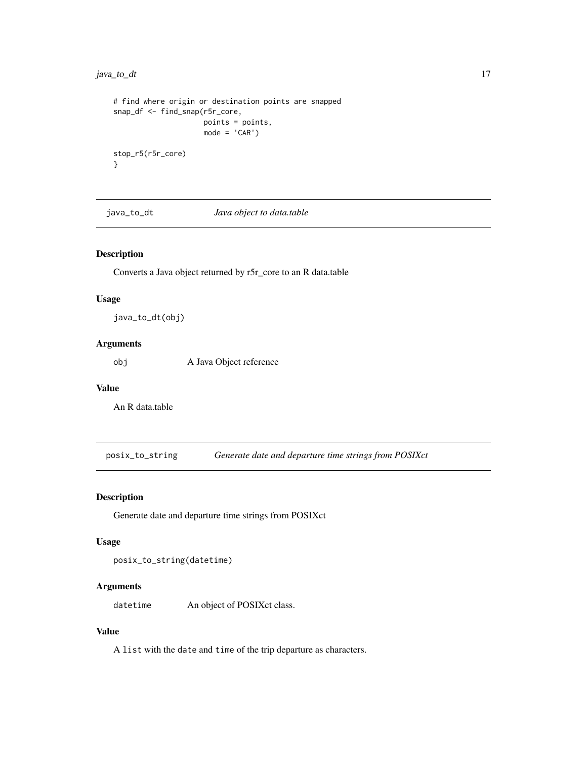## <span id="page-16-0"></span>java\_to\_dt 17

```
# find where origin or destination points are snapped
snap_df <- find_snap(r5r_core,
                    points = points,
                    mode = 'CAR')stop_r5(r5r_core)
}
```
java\_to\_dt *Java object to data.table*

## Description

Converts a Java object returned by r5r\_core to an R data.table

## Usage

java\_to\_dt(obj)

## Arguments

obj A Java Object reference

#### Value

An R data.table

<span id="page-16-1"></span>posix\_to\_string *Generate date and departure time strings from POSIXct*

## Description

Generate date and departure time strings from POSIXct

#### Usage

posix\_to\_string(datetime)

## Arguments

datetime An object of POSIXct class.

## Value

A list with the date and time of the trip departure as characters.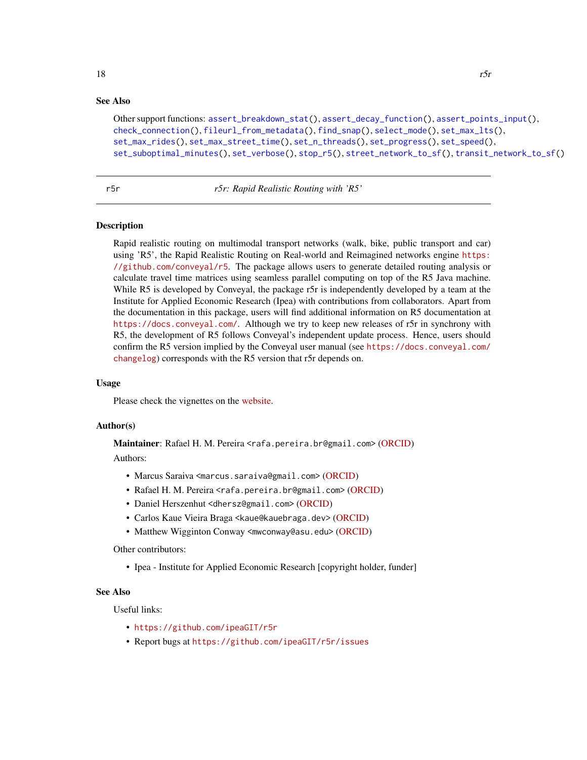## <span id="page-17-0"></span>See Also

```
Other support functions: assert_breakdown_stat(), assert_decay_function(), assert_points_input(),
check_connection(), fileurl_from_metadata(), find_snap(), select_mode(), set_max_lts(),
set_max_rides(), set_max_street_time(), set_n_threads(), set_progress(), set_speed(),
set_suboptimal_minutes(), set_verbose(), stop_r5(), street_network_to_sf(), transit_network_to_sf()
```
r5r *r5r: Rapid Realistic Routing with 'R5'*

## Description

Rapid realistic routing on multimodal transport networks (walk, bike, public transport and car) using 'R5', the Rapid Realistic Routing on Real-world and Reimagined networks engine [https:](https://github.com/conveyal/r5) [//github.com/conveyal/r5](https://github.com/conveyal/r5). The package allows users to generate detailed routing analysis or calculate travel time matrices using seamless parallel computing on top of the R5 Java machine. While R5 is developed by Conveyal, the package r5r is independently developed by a team at the Institute for Applied Economic Research (Ipea) with contributions from collaborators. Apart from the documentation in this package, users will find additional information on R5 documentation at <https://docs.conveyal.com/>. Although we try to keep new releases of r5r in synchrony with R5, the development of R5 follows Conveyal's independent update process. Hence, users should confirm the R5 version implied by the Conveyal user manual (see [https://docs.conveyal.com/](https://docs.conveyal.com/changelog) [changelog](https://docs.conveyal.com/changelog)) corresponds with the R5 version that r5r depends on.

## Usage

Please check the vignettes on the [website.](https://ipeagit.github.io/r5r/)

#### Author(s)

Maintainer: Rafael H. M. Pereira <rafa.pereira.br@gmail.com> [\(ORCID\)](https://orcid.org/0000-0003-2125-7465) Authors:

- Marcus Saraiva <marcus.saraiva@gmail.com> [\(ORCID\)](https://orcid.org/0000-0001-6218-2338)
- Rafael H. M. Pereira <rafa.pereira.br@gmail.com> [\(ORCID\)](https://orcid.org/0000-0003-2125-7465)
- Daniel Herszenhut <dhersz@gmail.com> [\(ORCID\)](https://orcid.org/0000-0001-8066-1105)
- Carlos Kaue Vieira Braga <kaue@kauebraga.dev> [\(ORCID\)](https://orcid.org/0000-0002-6104-7297)
- Matthew Wigginton Conway <mwconway@asu.edu> [\(ORCID\)](https://orcid.org/0000-0002-1210-2982)

## Other contributors:

• Ipea - Institute for Applied Economic Research [copyright holder, funder]

## See Also

Useful links:

- <https://github.com/ipeaGIT/r5r>
- Report bugs at <https://github.com/ipeaGIT/r5r/issues>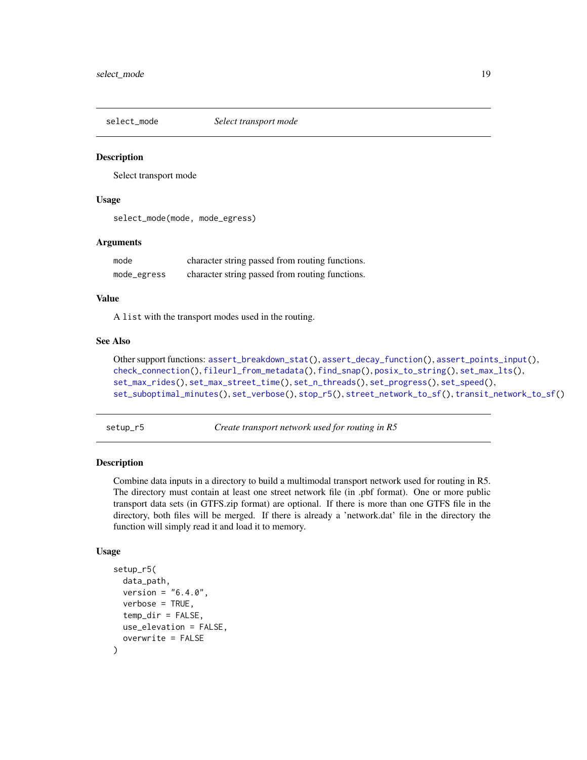<span id="page-18-1"></span><span id="page-18-0"></span>

## **Description**

Select transport mode

## Usage

select\_mode(mode, mode\_egress)

## Arguments

| mode        | character string passed from routing functions. |
|-------------|-------------------------------------------------|
| mode_egress | character string passed from routing functions. |

#### Value

A list with the transport modes used in the routing.

#### See Also

```
Other support functions: assert_breakdown_stat(), assert_decay_function(), assert_points_input(),
check_connection(), fileurl_from_metadata(), find_snap(), posix_to_string(), set_max_lts(),
set_max_rides(), set_max_street_time(), set_n_threads(), set_progress(), set_speed(),
set_suboptimal_minutes(), set_verbose(), stop_r5(), street_network_to_sf(), transit_network_to_sf()
```
<span id="page-18-2"></span>setup\_r5 *Create transport network used for routing in R5*

## Description

Combine data inputs in a directory to build a multimodal transport network used for routing in R5. The directory must contain at least one street network file (in .pbf format). One or more public transport data sets (in GTFS.zip format) are optional. If there is more than one GTFS file in the directory, both files will be merged. If there is already a 'network.dat' file in the directory the function will simply read it and load it to memory.

## Usage

```
setup_r5(
  data_path,
  version = "6.4.0".verbose = TRUE,
  temp\_dir = FALSE,
  use_elevation = FALSE,
  overwrite = FALSE
)
```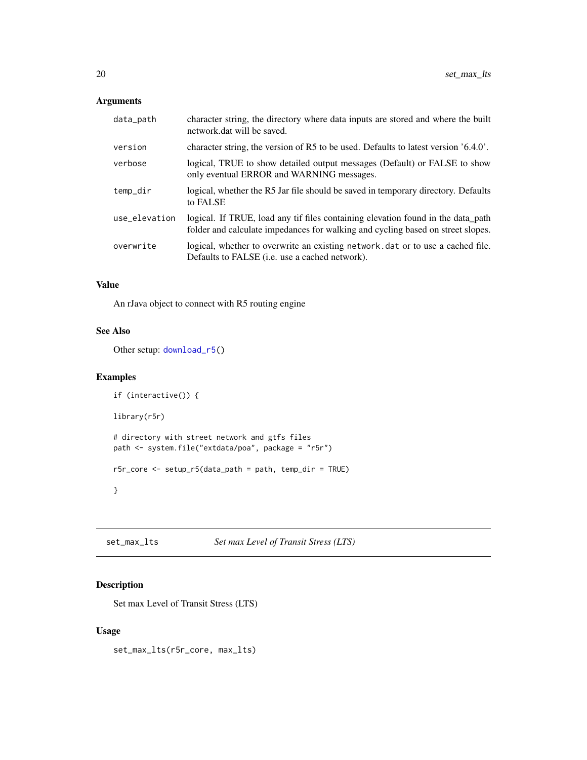## <span id="page-19-0"></span>Arguments

| data_path     | character string, the directory where data inputs are stored and where the built<br>network.dat will be saved.                                                      |
|---------------|---------------------------------------------------------------------------------------------------------------------------------------------------------------------|
| version       | character string, the version of R5 to be used. Defaults to latest version $6.4.0$ .                                                                                |
| verbose       | logical, TRUE to show detailed output messages (Default) or FALSE to show<br>only eventual ERROR and WARNING messages.                                              |
| temp_dir      | logical, whether the R5 Jar file should be saved in temporary directory. Defaults<br>to FALSE                                                                       |
| use_elevation | logical. If TRUE, load any tif files containing elevation found in the data path<br>folder and calculate impedances for walking and cycling based on street slopes. |
| overwrite     | logical, whether to overwrite an existing network dat or to use a cached file.<br>Defaults to FALSE <i>(i.e.</i> use a cached network).                             |

## Value

An rJava object to connect with R5 routing engine

## See Also

Other setup: [download\\_r5\(](#page-13-1))

## Examples

```
if (interactive()) {
library(r5r)
# directory with street network and gtfs files
path <- system.file("extdata/poa", package = "r5r")
r5r_core <- setup_r5(data_path = path, temp_dir = TRUE)
}
```
<span id="page-19-1"></span>set\_max\_lts *Set max Level of Transit Stress (LTS)*

## Description

Set max Level of Transit Stress (LTS)

## Usage

set\_max\_lts(r5r\_core, max\_lts)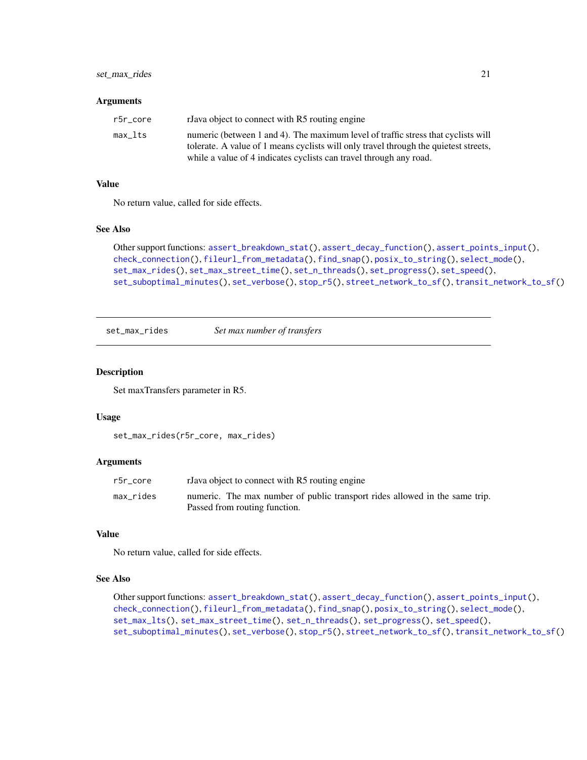## <span id="page-20-0"></span>set\_max\_rides 21

#### Arguments

| r5r core | rJava object to connect with R5 routing engine                                       |
|----------|--------------------------------------------------------------------------------------|
| max lts  | numeric (between 1 and 4). The maximum level of traffic stress that cyclists will    |
|          | tolerate. A value of 1 means cyclists will only travel through the quietest streets, |
|          | while a value of 4 indicates cyclists can travel through any road.                   |

## Value

No return value, called for side effects.

## See Also

```
Other support functions: assert_breakdown_stat(), assert_decay_function(), assert_points_input(),
check_connection(), fileurl_from_metadata(), find_snap(), posix_to_string(), select_mode(),
set_max_rides(), set_max_street_time(), set_n_threads(), set_progress(), set_speed(),
set_suboptimal_minutes(), set_verbose(), stop_r5(), street_network_to_sf(), transit_network_to_sf()
```
<span id="page-20-1"></span>set\_max\_rides *Set max number of transfers*

## Description

Set maxTransfers parameter in R5.

## Usage

```
set_max_rides(r5r_core, max_rides)
```
## Arguments

| r5r core  | rJava object to connect with R5 routing engine                              |
|-----------|-----------------------------------------------------------------------------|
| max_rides | numeric. The max number of public transport rides allowed in the same trip. |
|           | Passed from routing function.                                               |

## Value

No return value, called for side effects.

#### See Also

```
Other support functions: assert_breakdown_stat(), assert_decay_function(), assert_points_input(),
check_connection(), fileurl_from_metadata(), find_snap(), posix_to_string(), select_mode(),
set_max_lts(), set_max_street_time(), set_n_threads(), set_progress(), set_speed(),
set_suboptimal_minutes(), set_verbose(), stop_r5(), street_network_to_sf(), transit_network_to_sf()
```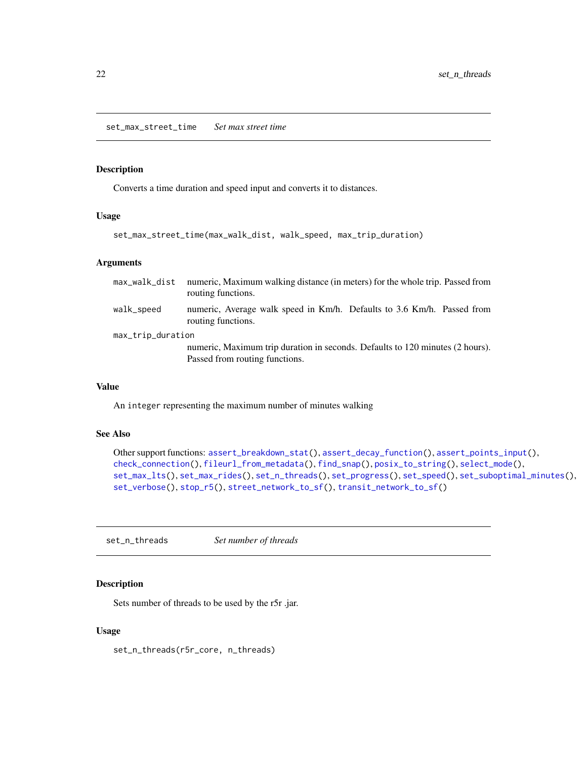## <span id="page-21-1"></span><span id="page-21-0"></span>Description

Converts a time duration and speed input and converts it to distances.

## Usage

```
set_max_street_time(max_walk_dist, walk_speed, max_trip_duration)
```
## Arguments

| max_walk_dist     | numeric, Maximum walking distance (in meters) for the whole trip. Passed from<br>routing functions.             |  |
|-------------------|-----------------------------------------------------------------------------------------------------------------|--|
| walk_speed        | numeric, Average walk speed in Km/h. Defaults to 3.6 Km/h. Passed from<br>routing functions.                    |  |
| max_trip_duration |                                                                                                                 |  |
|                   | numeric, Maximum trip duration in seconds. Defaults to 120 minutes (2 hours).<br>Passed from routing functions. |  |

#### Value

An integer representing the maximum number of minutes walking

## See Also

```
Other support functions: assert_breakdown_stat(), assert_decay_function(), assert_points_input(),
check_connection(), fileurl_from_metadata(), find_snap(), posix_to_string(), select_mode(),
set_max_lts(), set_max_rides(), set_n_threads(), set_progress(), set_speed(), set_suboptimal_minutes(),
set_verbose(), stop_r5(), street_network_to_sf(), transit_network_to_sf()
```
<span id="page-21-2"></span>set\_n\_threads *Set number of threads*

## Description

Sets number of threads to be used by the r5r .jar.

## Usage

set\_n\_threads(r5r\_core, n\_threads)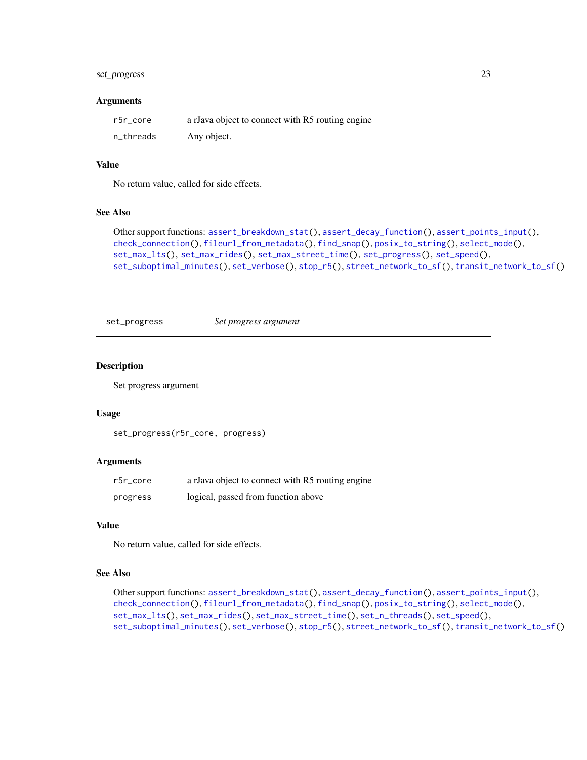## <span id="page-22-0"></span>set\_progress 23

#### Arguments

| r5r core  | a rJava object to connect with R5 routing engine |
|-----------|--------------------------------------------------|
| n_threads | Any object.                                      |

## Value

No return value, called for side effects.

#### See Also

```
Other support functions: assert_breakdown_stat(), assert_decay_function(), assert_points_input(),
check_connection(), fileurl_from_metadata(), find_snap(), posix_to_string(), select_mode(),
set_max_lts(), set_max_rides(), set_max_street_time(), set_progress(), set_speed(),
set_suboptimal_minutes(), set_verbose(), stop_r5(), street_network_to_sf(), transit_network_to_sf()
```

```
set_progress Set progress argument
```
#### Description

Set progress argument

#### Usage

```
set_progress(r5r_core, progress)
```
## **Arguments**

| r5r core | a rJava object to connect with R5 routing engine |
|----------|--------------------------------------------------|
| progress | logical, passed from function above              |

## Value

No return value, called for side effects.

## See Also

```
Other support functions: assert_breakdown_stat(), assert_decay_function(), assert_points_input(),
check_connection(), fileurl_from_metadata(), find_snap(), posix_to_string(), select_mode(),
set_max_lts(), set_max_rides(), set_max_street_time(), set_n_threads(), set_speed(),
set_suboptimal_minutes(), set_verbose(), stop_r5(), street_network_to_sf(), transit_network_to_sf()
```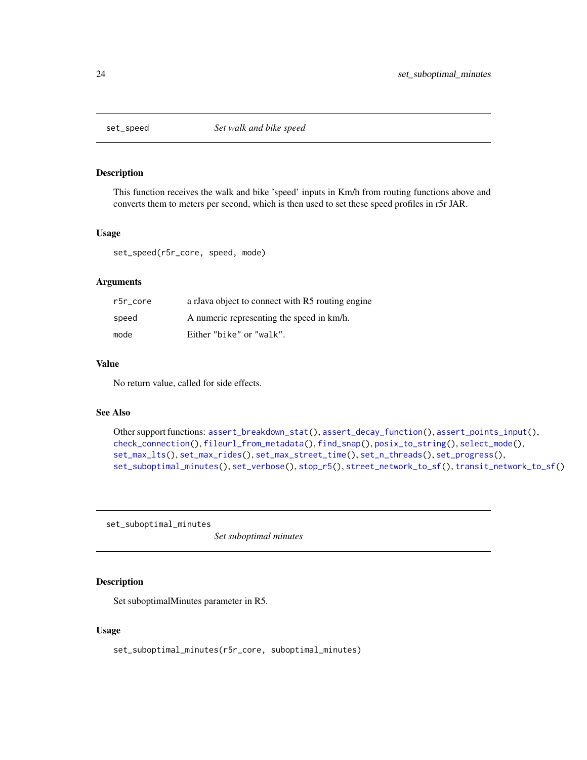<span id="page-23-1"></span><span id="page-23-0"></span>

## Description

This function receives the walk and bike 'speed' inputs in Km/h from routing functions above and converts them to meters per second, which is then used to set these speed profiles in r5r JAR.

#### Usage

set\_speed(r5r\_core, speed, mode)

## Arguments

| r5r core | a rJava object to connect with R5 routing engine |
|----------|--------------------------------------------------|
| speed    | A numeric representing the speed in km/h.        |
| mode     | Either "bike" or "walk".                         |

## Value

No return value, called for side effects.

#### See Also

```
Other support functions: assert_breakdown_stat(), assert_decay_function(), assert_points_input(),
check_connection(), fileurl_from_metadata(), find_snap(), posix_to_string(), select_mode(),
set_max_lts(), set_max_rides(), set_max_street_time(), set_n_threads(), set_progress(),
set_suboptimal_minutes(), set_verbose(), stop_r5(), street_network_to_sf(), transit_network_to_sf()
```
<span id="page-23-2"></span>set\_suboptimal\_minutes

*Set suboptimal minutes*

## Description

Set suboptimalMinutes parameter in R5.

## Usage

set\_suboptimal\_minutes(r5r\_core, suboptimal\_minutes)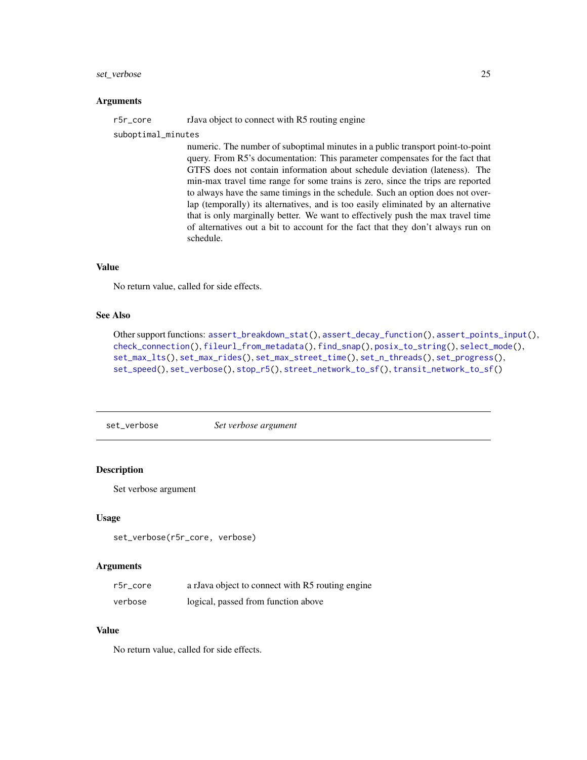## <span id="page-24-0"></span>set\_verbose 25

#### Arguments

r5r\_core rJava object to connect with R5 routing engine

suboptimal\_minutes

numeric. The number of suboptimal minutes in a public transport point-to-point query. From R5's documentation: This parameter compensates for the fact that GTFS does not contain information about schedule deviation (lateness). The min-max travel time range for some trains is zero, since the trips are reported to always have the same timings in the schedule. Such an option does not overlap (temporally) its alternatives, and is too easily eliminated by an alternative that is only marginally better. We want to effectively push the max travel time of alternatives out a bit to account for the fact that they don't always run on schedule.

## Value

No return value, called for side effects.

#### See Also

```
Other support functions: assert_breakdown_stat(), assert_decay_function(), assert_points_input(),
check_connection(), fileurl_from_metadata(), find_snap(), posix_to_string(), select_mode(),
set_max_lts(), set_max_rides(), set_max_street_time(), set_n_threads(), set_progress(),
set_speed(), set_verbose(), stop_r5(), street_network_to_sf(), transit_network_to_sf()
```
<span id="page-24-1"></span>set\_verbose *Set verbose argument*

## Description

Set verbose argument

#### Usage

set\_verbose(r5r\_core, verbose)

#### Arguments

| r5r core | a rJava object to connect with R5 routing engine |
|----------|--------------------------------------------------|
| verbose  | logical, passed from function above              |

## Value

No return value, called for side effects.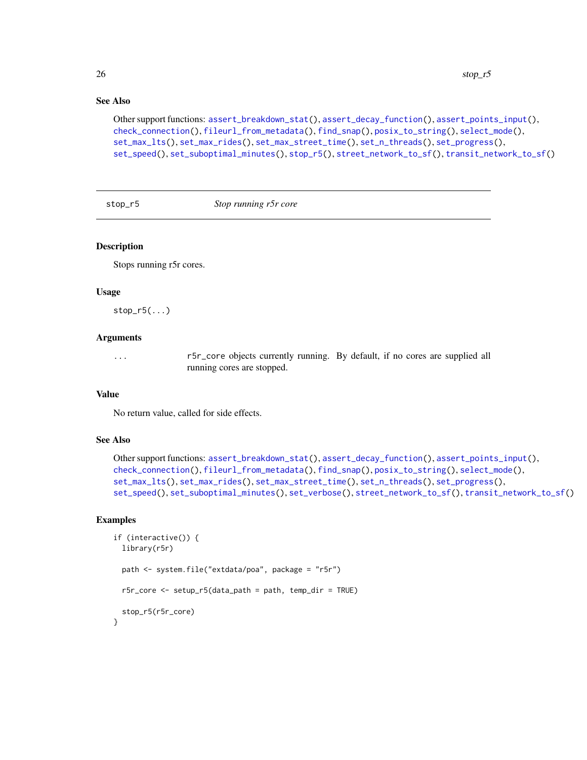## See Also

```
Other support functions: assert_breakdown_stat(), assert_decay_function(), assert_points_input(),
check_connection(), fileurl_from_metadata(), find_snap(), posix_to_string(), select_mode(),
set_max_lts(), set_max_rides(), set_max_street_time(), set_n_threads(), set_progress(),
set_speed(), set_suboptimal_minutes(), stop_r5(), street_network_to_sf(), transit_network_to_sf()
```
<span id="page-25-1"></span>stop\_r5 *Stop running r5r core*

## Description

Stops running r5r cores.

#### Usage

 $stop_r5(...)$ 

## Arguments

... r5r\_core objects currently running. By default, if no cores are supplied all running cores are stopped.

## Value

No return value, called for side effects.

## See Also

```
Other support functions: assert_breakdown_stat(), assert_decay_function(), assert_points_input(),
check_connection(), fileurl_from_metadata(), find_snap(), posix_to_string(), select_mode(),
set_max_lts(), set_max_rides(), set_max_street_time(), set_n_threads(), set_progress(),
set_speed(), set_suboptimal_minutes(), set_verbose(), street_network_to_sf(), transit_network_to_sf()
```
#### Examples

```
if (interactive()) {
 library(r5r)
 path <- system.file("extdata/poa", package = "r5r")
 r5r_core <- setup_r5(data_path = path, temp_dir = TRUE)
 stop_r5(r5r_core)
}
```
<span id="page-25-0"></span>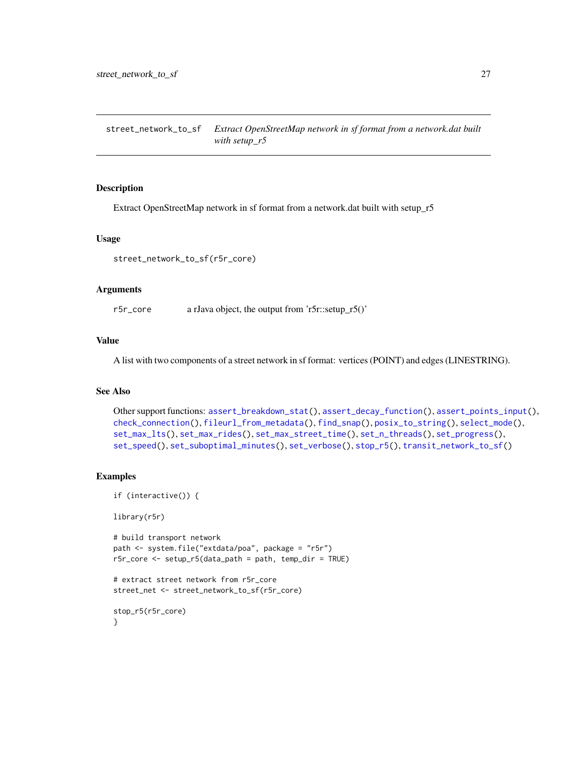<span id="page-26-1"></span><span id="page-26-0"></span>street\_network\_to\_sf *Extract OpenStreetMap network in sf format from a network.dat built with setup\_r5*

#### Description

Extract OpenStreetMap network in sf format from a network.dat built with setup\_r5

#### Usage

```
street_network_to_sf(r5r_core)
```
## Arguments

r5r\_core a rJava object, the output from 'r5r::setup\_r5()'

## Value

A list with two components of a street network in sf format: vertices (POINT) and edges (LINESTRING).

## See Also

```
Other support functions: assert_breakdown_stat(), assert_decay_function(), assert_points_input(),
check_connection(), fileurl_from_metadata(), find_snap(), posix_to_string(), select_mode(),
set_max_lts(), set_max_rides(), set_max_street_time(), set_n_threads(), set_progress(),
set_speed(), set_suboptimal_minutes(), set_verbose(), stop_r5(), transit_network_to_sf()
```
#### Examples

```
if (interactive()) {
```
library(r5r)

```
# build transport network
path <- system.file("extdata/poa", package = "r5r")
r5r_core <- setup_r5(data_path = path, temp_dir = TRUE)
```

```
# extract street network from r5r_core
street_net <- street_network_to_sf(r5r_core)
```

```
stop_r5(r5r_core)
}
```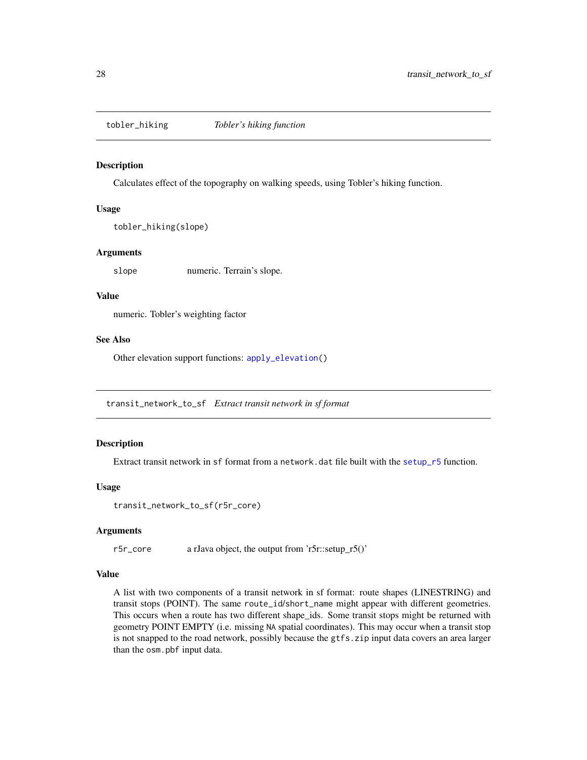<span id="page-27-1"></span><span id="page-27-0"></span>tobler\_hiking *Tobler's hiking function*

#### Description

Calculates effect of the topography on walking speeds, using Tobler's hiking function.

## Usage

```
tobler_hiking(slope)
```
## Arguments

slope numeric. Terrain's slope.

## Value

numeric. Tobler's weighting factor

## See Also

Other elevation support functions: [apply\\_elevation\(](#page-7-2))

<span id="page-27-2"></span>transit\_network\_to\_sf *Extract transit network in sf format*

## Description

Extract transit network in sf format from a network.dat file built with the [setup\\_r5](#page-18-2) function.

## Usage

```
transit_network_to_sf(r5r_core)
```
#### Arguments

r5r\_core a rJava object, the output from 'r5r::setup\_r5()'

## Value

A list with two components of a transit network in sf format: route shapes (LINESTRING) and transit stops (POINT). The same route\_id/short\_name might appear with different geometries. This occurs when a route has two different shape\_ids. Some transit stops might be returned with geometry POINT EMPTY (i.e. missing NA spatial coordinates). This may occur when a transit stop is not snapped to the road network, possibly because the gtfs.zip input data covers an area larger than the osm.pbf input data.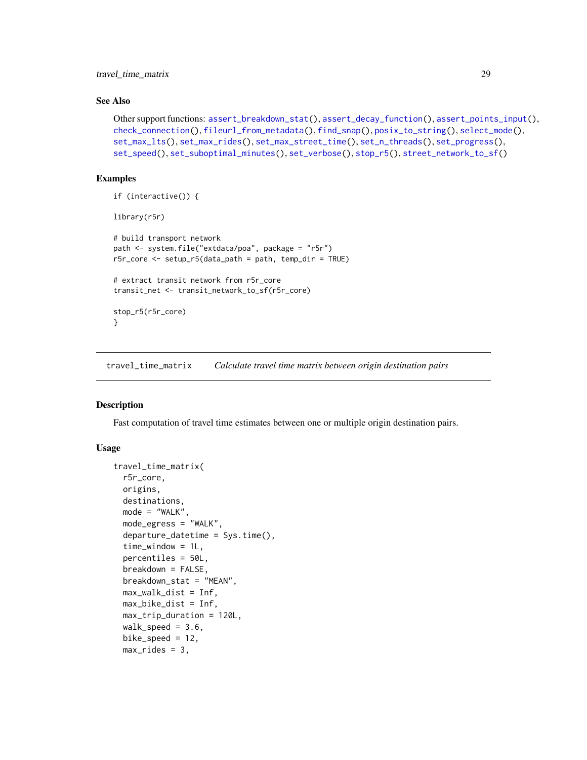<span id="page-28-0"></span>travel\_time\_matrix 29

### See Also

```
Other support functions: assert_breakdown_stat(), assert_decay_function(), assert_points_input(),
check_connection(), fileurl_from_metadata(), find_snap(), posix_to_string(), select_mode(),
set_max_lts(), set_max_rides(), set_max_street_time(), set_n_threads(), set_progress(),
set_speed(), set_suboptimal_minutes(), set_verbose(), stop_r5(), street_network_to_sf()
```
## Examples

```
if (interactive()) {
library(r5r)
# build transport network
path <- system.file("extdata/poa", package = "r5r")
r5r_core <- setup_r5(data_path = path, temp_dir = TRUE)
# extract transit network from r5r_core
transit_net <- transit_network_to_sf(r5r_core)
stop_r5(r5r_core)
}
```
<span id="page-28-1"></span>travel\_time\_matrix *Calculate travel time matrix between origin destination pairs*

## Description

Fast computation of travel time estimates between one or multiple origin destination pairs.

## Usage

```
travel_time_matrix(
  r5r_core,
 origins,
  destinations,
 mode = "WALK",
 mode_egress = "WALK",
  departure_datetime = Sys.time(),
  time_window = 1L,
  percentiles = 50L,
  breakdown = FALSE,
  breakdown_stat = "MEAN",
  max_walk_dist = Inf,
 max_bike_dist = Inf,
 max_trip_duration = 120L,
  walk\_speed = 3.6,bike_speed = 12,
 max\_rides = 3,
```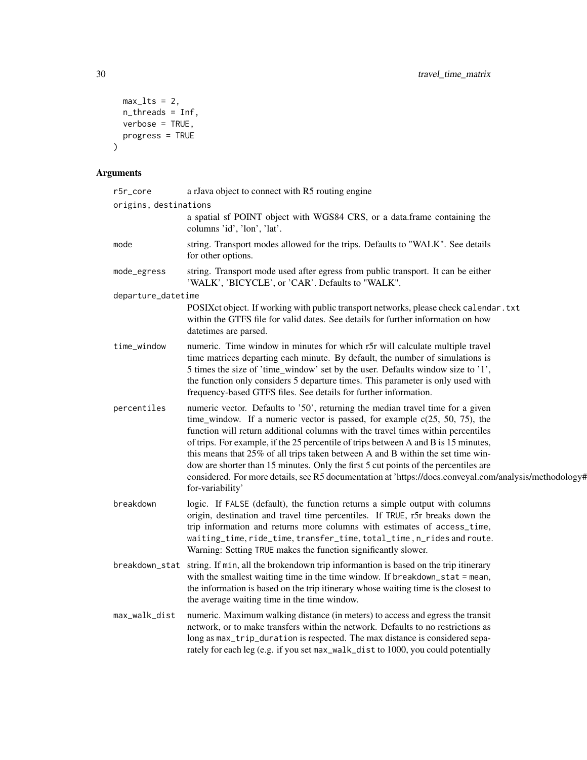```
max\_lts = 2,
  n_threads = Inf,
 verbose = TRUE,progress = TRUE
)
```
# Arguments

| r5r_core              | a rJava object to connect with R5 routing engine                                                                                                                                                                                                                                                                                                                                                                                                                                                                                                                                                                                                   |
|-----------------------|----------------------------------------------------------------------------------------------------------------------------------------------------------------------------------------------------------------------------------------------------------------------------------------------------------------------------------------------------------------------------------------------------------------------------------------------------------------------------------------------------------------------------------------------------------------------------------------------------------------------------------------------------|
| origins, destinations |                                                                                                                                                                                                                                                                                                                                                                                                                                                                                                                                                                                                                                                    |
|                       | a spatial sf POINT object with WGS84 CRS, or a data.frame containing the<br>columns 'id', 'lon', 'lat'.                                                                                                                                                                                                                                                                                                                                                                                                                                                                                                                                            |
| mode                  | string. Transport modes allowed for the trips. Defaults to "WALK". See details<br>for other options.                                                                                                                                                                                                                                                                                                                                                                                                                                                                                                                                               |
| mode_egress           | string. Transport mode used after egress from public transport. It can be either<br>'WALK', 'BICYCLE', or 'CAR'. Defaults to "WALK".                                                                                                                                                                                                                                                                                                                                                                                                                                                                                                               |
| departure_datetime    |                                                                                                                                                                                                                                                                                                                                                                                                                                                                                                                                                                                                                                                    |
|                       | POSIXct object. If working with public transport networks, please check calendar . txt<br>within the GTFS file for valid dates. See details for further information on how<br>datetimes are parsed.                                                                                                                                                                                                                                                                                                                                                                                                                                                |
| time_window           | numeric. Time window in minutes for which r5r will calculate multiple travel<br>time matrices departing each minute. By default, the number of simulations is<br>5 times the size of 'time_window' set by the user. Defaults window size to '1',<br>the function only considers 5 departure times. This parameter is only used with<br>frequency-based GTFS files. See details for further information.                                                                                                                                                                                                                                            |
| percentiles           | numeric vector. Defaults to '50', returning the median travel time for a given<br>time_window. If a numeric vector is passed, for example $c(25, 50, 75)$ , the<br>function will return additional columns with the travel times within percentiles<br>of trips. For example, if the 25 percentile of trips between A and B is 15 minutes,<br>this means that 25% of all trips taken between A and B within the set time win-<br>dow are shorter than 15 minutes. Only the first 5 cut points of the percentiles are<br>considered. For more details, see R5 documentation at 'https://docs.conveyal.com/analysis/methodology#<br>for-variability' |
| breakdown             | logic. If FALSE (default), the function returns a simple output with columns<br>origin, destination and travel time percentiles. If TRUE, r5r breaks down the<br>trip information and returns more columns with estimates of access_time,<br>waiting_time, ride_time, transfer_time, total_time, n_rides and route.<br>Warning: Setting TRUE makes the function significantly slower.                                                                                                                                                                                                                                                              |
| breakdown_stat        | string. If min, all the brokendown trip informantion is based on the trip itinerary<br>with the smallest waiting time in the time window. If breakdown_stat = mean,<br>the information is based on the trip itinerary whose waiting time is the closest to<br>the average waiting time in the time window.                                                                                                                                                                                                                                                                                                                                         |
| max_walk_dist         | numeric. Maximum walking distance (in meters) to access and egress the transit<br>network, or to make transfers within the network. Defaults to no restrictions as<br>long as max_trip_duration is respected. The max distance is considered sepa-<br>rately for each leg (e.g. if you set max_walk_dist to 1000, you could potentially                                                                                                                                                                                                                                                                                                            |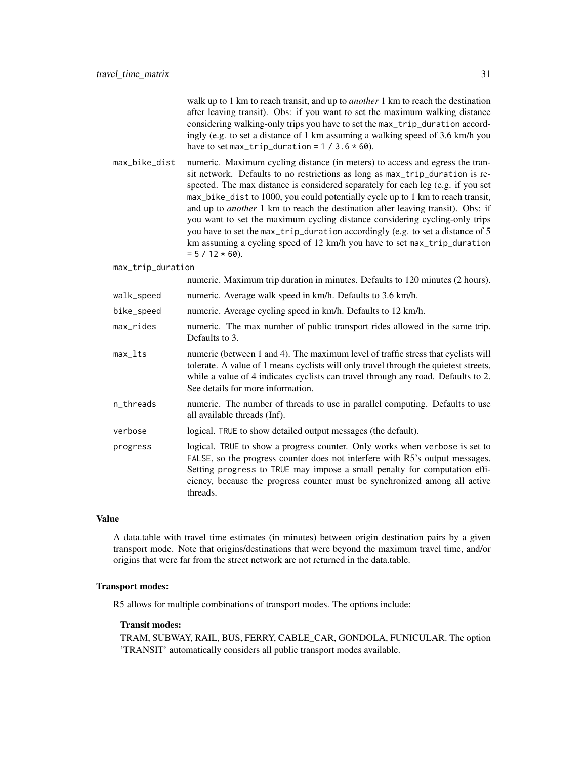|                   | walk up to 1 km to reach transit, and up to <i>another</i> 1 km to reach the destination<br>after leaving transit). Obs: if you want to set the maximum walking distance<br>considering walking-only trips you have to set the max_trip_duration accord-<br>ingly (e.g. to set a distance of 1 km assuming a walking speed of 3.6 km/h you<br>have to set max_trip_duration = $1 / 3.6 * 60$ .                                                                                                                                                                                                                                                                                                  |
|-------------------|-------------------------------------------------------------------------------------------------------------------------------------------------------------------------------------------------------------------------------------------------------------------------------------------------------------------------------------------------------------------------------------------------------------------------------------------------------------------------------------------------------------------------------------------------------------------------------------------------------------------------------------------------------------------------------------------------|
| max_bike_dist     | numeric. Maximum cycling distance (in meters) to access and egress the tran-<br>sit network. Defaults to no restrictions as long as max_trip_duration is re-<br>spected. The max distance is considered separately for each leg (e.g. if you set<br>max_bike_dist to 1000, you could potentially cycle up to 1 km to reach transit,<br>and up to <i>another</i> 1 km to reach the destination after leaving transit). Obs: if<br>you want to set the maximum cycling distance considering cycling-only trips<br>you have to set the max_trip_duration accordingly (e.g. to set a distance of 5<br>km assuming a cycling speed of 12 km/h you have to set max_trip_duration<br>$= 5 / 12 * 60$ . |
| max_trip_duration |                                                                                                                                                                                                                                                                                                                                                                                                                                                                                                                                                                                                                                                                                                 |
|                   | numeric. Maximum trip duration in minutes. Defaults to 120 minutes (2 hours).                                                                                                                                                                                                                                                                                                                                                                                                                                                                                                                                                                                                                   |
| walk_speed        | numeric. Average walk speed in km/h. Defaults to 3.6 km/h.                                                                                                                                                                                                                                                                                                                                                                                                                                                                                                                                                                                                                                      |
| bike_speed        | numeric. Average cycling speed in km/h. Defaults to 12 km/h.                                                                                                                                                                                                                                                                                                                                                                                                                                                                                                                                                                                                                                    |
| max_rides         | numeric. The max number of public transport rides allowed in the same trip.<br>Defaults to 3.                                                                                                                                                                                                                                                                                                                                                                                                                                                                                                                                                                                                   |
| max_lts           | numeric (between 1 and 4). The maximum level of traffic stress that cyclists will<br>tolerate. A value of 1 means cyclists will only travel through the quietest streets,<br>while a value of 4 indicates cyclists can travel through any road. Defaults to 2.<br>See details for more information.                                                                                                                                                                                                                                                                                                                                                                                             |
| n_threads         | numeric. The number of threads to use in parallel computing. Defaults to use<br>all available threads (Inf).                                                                                                                                                                                                                                                                                                                                                                                                                                                                                                                                                                                    |
| verbose           | logical. TRUE to show detailed output messages (the default).                                                                                                                                                                                                                                                                                                                                                                                                                                                                                                                                                                                                                                   |
| progress          | logical. TRUE to show a progress counter. Only works when verbose is set to<br>FALSE, so the progress counter does not interfere with R5's output messages.<br>Setting progress to TRUE may impose a small penalty for computation effi-<br>ciency, because the progress counter must be synchronized among all active<br>threads.                                                                                                                                                                                                                                                                                                                                                              |

## Value

A data.table with travel time estimates (in minutes) between origin destination pairs by a given transport mode. Note that origins/destinations that were beyond the maximum travel time, and/or origins that were far from the street network are not returned in the data.table.

## Transport modes:

R5 allows for multiple combinations of transport modes. The options include:

## Transit modes:

TRAM, SUBWAY, RAIL, BUS, FERRY, CABLE\_CAR, GONDOLA, FUNICULAR. The option 'TRANSIT' automatically considers all public transport modes available.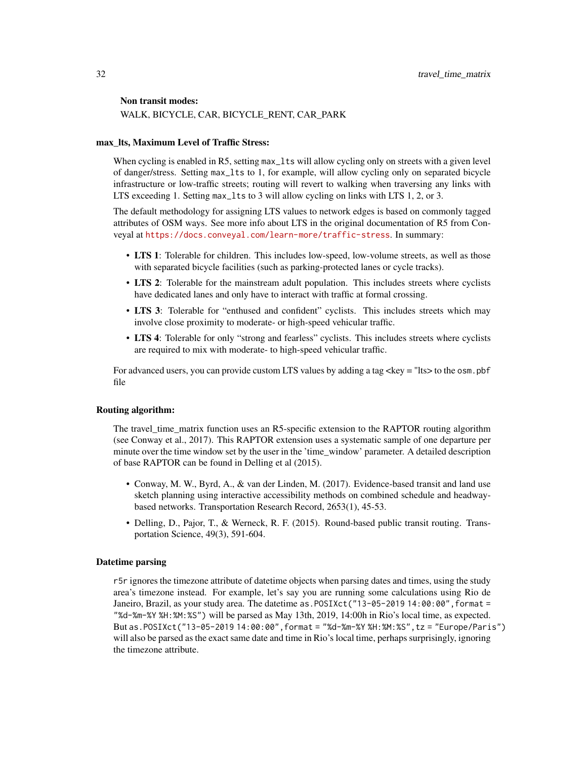#### Non transit modes:

WALK, BICYCLE, CAR, BICYCLE\_RENT, CAR\_PARK

## max\_lts, Maximum Level of Traffic Stress:

When cycling is enabled in R5, setting max\_lts will allow cycling only on streets with a given level of danger/stress. Setting max\_lts to 1, for example, will allow cycling only on separated bicycle infrastructure or low-traffic streets; routing will revert to walking when traversing any links with LTS exceeding 1. Setting max\_lts to 3 will allow cycling on links with LTS 1, 2, or 3.

The default methodology for assigning LTS values to network edges is based on commonly tagged attributes of OSM ways. See more info about LTS in the original documentation of R5 from Conveyal at <https://docs.conveyal.com/learn-more/traffic-stress>. In summary:

- LTS 1: Tolerable for children. This includes low-speed, low-volume streets, as well as those with separated bicycle facilities (such as parking-protected lanes or cycle tracks).
- LTS 2: Tolerable for the mainstream adult population. This includes streets where cyclists have dedicated lanes and only have to interact with traffic at formal crossing.
- LTS 3: Tolerable for "enthused and confident" cyclists. This includes streets which may involve close proximity to moderate- or high-speed vehicular traffic.
- LTS 4: Tolerable for only "strong and fearless" cyclists. This includes streets where cyclists are required to mix with moderate- to high-speed vehicular traffic.

For advanced users, you can provide custom LTS values by adding a tag  $\langle \text{key} = \text{%} \rangle$  to the osm. pbf file

## Routing algorithm:

The travel time matrix function uses an R5-specific extension to the RAPTOR routing algorithm (see Conway et al., 2017). This RAPTOR extension uses a systematic sample of one departure per minute over the time window set by the user in the 'time\_window' parameter. A detailed description of base RAPTOR can be found in Delling et al (2015).

- Conway, M. W., Byrd, A., & van der Linden, M. (2017). Evidence-based transit and land use sketch planning using interactive accessibility methods on combined schedule and headwaybased networks. Transportation Research Record, 2653(1), 45-53.
- Delling, D., Pajor, T., & Werneck, R. F. (2015). Round-based public transit routing. Transportation Science, 49(3), 591-604.

## Datetime parsing

r5r ignores the timezone attribute of datetime objects when parsing dates and times, using the study area's timezone instead. For example, let's say you are running some calculations using Rio de Janeiro, Brazil, as your study area. The datetime as.POSIXct("13-05-2019 14:00:00",format = "%d-%m-%Y %H:%M:%S") will be parsed as May 13th, 2019, 14:00h in Rio's local time, as expected. But as.POSIXct("13-05-2019 14:00:00",format = "%d-%m-%Y %H:%M:%S",tz = "Europe/Paris") will also be parsed as the exact same date and time in Rio's local time, perhaps surprisingly, ignoring the timezone attribute.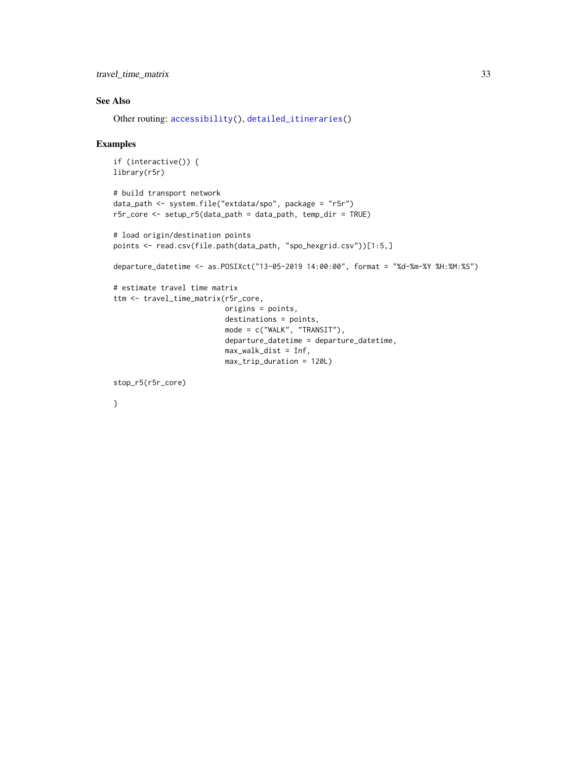<span id="page-32-0"></span>travel\_time\_matrix 33

## See Also

Other routing: [accessibility\(](#page-2-1)), [detailed\\_itineraries\(](#page-10-1))

#### Examples

```
if (interactive()) {
library(r5r)
# build transport network
data_path <- system.file("extdata/spo", package = "r5r")
r5r_core <- setup_r5(data_path = data_path, temp_dir = TRUE)
# load origin/destination points
points <- read.csv(file.path(data_path, "spo_hexgrid.csv"))[1:5,]
departure_datetime <- as.POSIXct("13-05-2019 14:00:00", format = "%d-%m-%Y %H:%M:%S")
# estimate travel time matrix
ttm <- travel_time_matrix(r5r_core,
                          origins = points,
                          destinations = points,
                          mode = c("WALK", "TRANSIT"),
                          departure_datetime = departure_datetime,
                          max_walk_dist = Inf,
                          max_trip_duration = 120L)
```
stop\_r5(r5r\_core)

}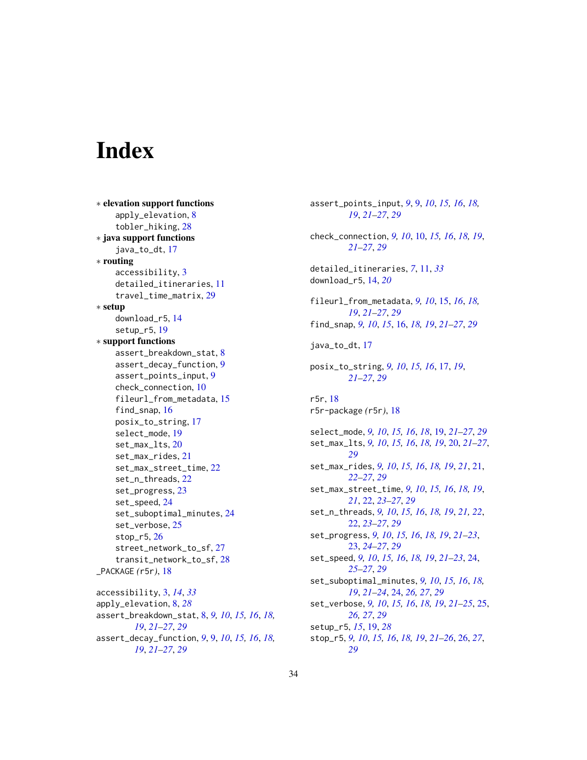# <span id="page-33-0"></span>**Index**

∗ elevation support functions apply\_elevation, [8](#page-7-0) tobler\_hiking, [28](#page-27-0) ∗ java support functions java\_to\_dt, [17](#page-16-0) ∗ routing accessibility, [3](#page-2-0) detailed\_itineraries, [11](#page-10-0) travel\_time\_matrix, [29](#page-28-0) ∗ setup download\_r5, [14](#page-13-0) setup\_r5, [19](#page-18-0) ∗ support functions assert\_breakdown\_stat, [8](#page-7-0) assert\_decay\_function, [9](#page-8-0) assert\_points\_input, [9](#page-8-0) check\_connection, [10](#page-9-0) fileurl\_from\_metadata, [15](#page-14-0) find\_snap, [16](#page-15-0) posix\_to\_string, [17](#page-16-0) select\_mode, [19](#page-18-0) set\_max\_lts, [20](#page-19-0) set\_max\_rides, [21](#page-20-0) set\_max\_street\_time, [22](#page-21-0) set\_n\_threads, [22](#page-21-0) set\_progress, [23](#page-22-0) set\_speed, [24](#page-23-0) set\_suboptimal\_minutes, [24](#page-23-0) set\_verbose, [25](#page-24-0) stop\_r5, [26](#page-25-0) street\_network\_to\_sf, [27](#page-26-0) transit\_network\_to\_sf, [28](#page-27-0) \_PACKAGE *(*r5r*)*, [18](#page-17-0) accessibility, [3,](#page-2-0) *[14](#page-13-0)*, *[33](#page-32-0)* apply\_elevation, [8,](#page-7-0) *[28](#page-27-0)* assert\_breakdown\_stat, [8,](#page-7-0) *[9,](#page-8-0) [10](#page-9-0)*, *[15,](#page-14-0) [16](#page-15-0)*, *[18,](#page-17-0) [19](#page-18-0)*, *[21](#page-20-0)[–27](#page-26-0)*, *[29](#page-28-0)*

```
assert_decay_function, 9, 9, 10, 15, 16, 18,
         19, 21–27, 29
```
assert\_points\_input, *[9](#page-8-0)*, [9,](#page-8-0) *[10](#page-9-0)*, *[15,](#page-14-0) [16](#page-15-0)*, *[18,](#page-17-0) [19](#page-18-0)*, *[21](#page-20-0)[–27](#page-26-0)*, *[29](#page-28-0)* check\_connection, *[9,](#page-8-0) [10](#page-9-0)*, [10,](#page-9-0) *[15,](#page-14-0) [16](#page-15-0)*, *[18,](#page-17-0) [19](#page-18-0)*, *[21](#page-20-0)[–27](#page-26-0)*, *[29](#page-28-0)* detailed\_itineraries, *[7](#page-6-0)*, [11,](#page-10-0) *[33](#page-32-0)* download\_r5, [14,](#page-13-0) *[20](#page-19-0)* fileurl\_from\_metadata, *[9,](#page-8-0) [10](#page-9-0)*, [15,](#page-14-0) *[16](#page-15-0)*, *[18,](#page-17-0) [19](#page-18-0)*, *[21](#page-20-0)[–27](#page-26-0)*, *[29](#page-28-0)* find\_snap, *[9,](#page-8-0) [10](#page-9-0)*, *[15](#page-14-0)*, [16,](#page-15-0) *[18,](#page-17-0) [19](#page-18-0)*, *[21](#page-20-0)[–27](#page-26-0)*, *[29](#page-28-0)* java\_to\_dt, [17](#page-16-0) posix\_to\_string, *[9,](#page-8-0) [10](#page-9-0)*, *[15,](#page-14-0) [16](#page-15-0)*, [17,](#page-16-0) *[19](#page-18-0)*, *[21](#page-20-0)[–27](#page-26-0)*, *[29](#page-28-0)* r5r, [18](#page-17-0) r5r-package *(*r5r*)*, [18](#page-17-0) select\_mode, *[9,](#page-8-0) [10](#page-9-0)*, *[15,](#page-14-0) [16](#page-15-0)*, *[18](#page-17-0)*, [19,](#page-18-0) *[21](#page-20-0)[–27](#page-26-0)*, *[29](#page-28-0)* set\_max\_lts, *[9,](#page-8-0) [10](#page-9-0)*, *[15,](#page-14-0) [16](#page-15-0)*, *[18,](#page-17-0) [19](#page-18-0)*, [20,](#page-19-0) *[21](#page-20-0)[–27](#page-26-0)*, *[29](#page-28-0)* set\_max\_rides, *[9,](#page-8-0) [10](#page-9-0)*, *[15,](#page-14-0) [16](#page-15-0)*, *[18,](#page-17-0) [19](#page-18-0)*, *[21](#page-20-0)*, [21,](#page-20-0) *[22](#page-21-0)[–27](#page-26-0)*, *[29](#page-28-0)* set\_max\_street\_time, *[9,](#page-8-0) [10](#page-9-0)*, *[15,](#page-14-0) [16](#page-15-0)*, *[18,](#page-17-0) [19](#page-18-0)*, *[21](#page-20-0)*, [22,](#page-21-0) *[23](#page-22-0)[–27](#page-26-0)*, *[29](#page-28-0)* set\_n\_threads, *[9,](#page-8-0) [10](#page-9-0)*, *[15,](#page-14-0) [16](#page-15-0)*, *[18,](#page-17-0) [19](#page-18-0)*, *[21,](#page-20-0) [22](#page-21-0)*, [22,](#page-21-0) *[23](#page-22-0)[–27](#page-26-0)*, *[29](#page-28-0)* set\_progress, *[9,](#page-8-0) [10](#page-9-0)*, *[15,](#page-14-0) [16](#page-15-0)*, *[18,](#page-17-0) [19](#page-18-0)*, *[21](#page-20-0)[–23](#page-22-0)*, [23,](#page-22-0) *[24](#page-23-0)[–27](#page-26-0)*, *[29](#page-28-0)* set\_speed, *[9,](#page-8-0) [10](#page-9-0)*, *[15,](#page-14-0) [16](#page-15-0)*, *[18,](#page-17-0) [19](#page-18-0)*, *[21](#page-20-0)[–23](#page-22-0)*, [24,](#page-23-0) *[25](#page-24-0)[–27](#page-26-0)*, *[29](#page-28-0)* set\_suboptimal\_minutes, *[9,](#page-8-0) [10](#page-9-0)*, *[15,](#page-14-0) [16](#page-15-0)*, *[18,](#page-17-0) [19](#page-18-0)*, *[21](#page-20-0)[–24](#page-23-0)*, [24,](#page-23-0) *[26,](#page-25-0) [27](#page-26-0)*, *[29](#page-28-0)* set\_verbose, *[9,](#page-8-0) [10](#page-9-0)*, *[15,](#page-14-0) [16](#page-15-0)*, *[18,](#page-17-0) [19](#page-18-0)*, *[21](#page-20-0)[–25](#page-24-0)*, [25,](#page-24-0) *[26,](#page-25-0) [27](#page-26-0)*, *[29](#page-28-0)* setup\_r5, *[15](#page-14-0)*, [19,](#page-18-0) *[28](#page-27-0)* stop\_r5, *[9,](#page-8-0) [10](#page-9-0)*, *[15,](#page-14-0) [16](#page-15-0)*, *[18,](#page-17-0) [19](#page-18-0)*, *[21](#page-20-0)[–26](#page-25-0)*, [26,](#page-25-0) *[27](#page-26-0)*, *[29](#page-28-0)*